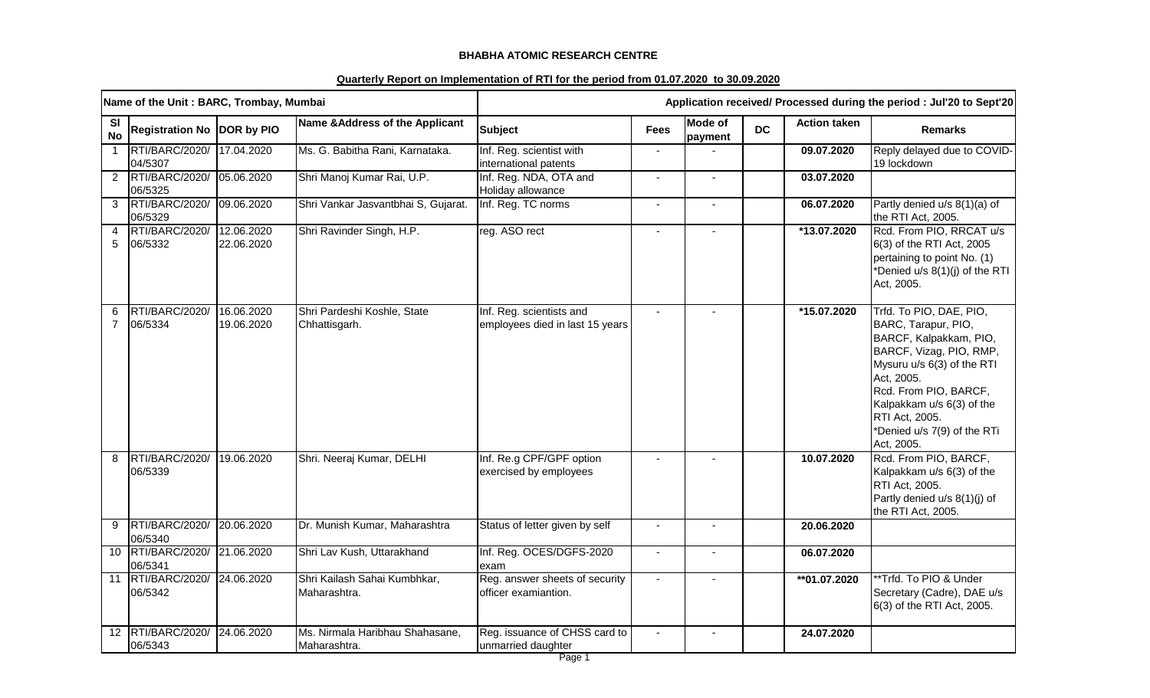## **BHABHA ATOMIC RESEARCH CENTRE**

## **Quarterly Report on Implementation of RTI for the period from 01.07.2020 to 30.09.2020**

|                     | Name of the Unit: BARC, Trombay, Mumbai |                          |                                                 | Application received/ Processed during the period : Jul'20 to Sept'20 |                |                    |           |                     |                                                                                                                                                                                                                                                                      |
|---------------------|-----------------------------------------|--------------------------|-------------------------------------------------|-----------------------------------------------------------------------|----------------|--------------------|-----------|---------------------|----------------------------------------------------------------------------------------------------------------------------------------------------------------------------------------------------------------------------------------------------------------------|
| SI<br><b>No</b>     | <b>Registration No DOR by PIO</b>       |                          | Name & Address of the Applicant                 | <b>Subject</b>                                                        | <b>Fees</b>    | Mode of<br>payment | <b>DC</b> | <b>Action taken</b> | <b>Remarks</b>                                                                                                                                                                                                                                                       |
| $\overline{1}$      | RTI/BARC/2020/<br>04/5307               | 17.04.2020               | Ms. G. Babitha Rani, Karnataka.                 | Inf. Reg. scientist with<br>international patents                     |                |                    |           | 09.07.2020          | Reply delayed due to COVID-<br>19 lockdown                                                                                                                                                                                                                           |
| $\overline{2}$      | RTI/BARC/2020/<br>06/5325               | 05.06.2020               | Shri Manoj Kumar Rai, U.P.                      | Inf. Reg. NDA, OTA and<br>Holiday allowance                           | $\sim$         | $\blacksquare$     |           | 03.07.2020          |                                                                                                                                                                                                                                                                      |
| 3                   | RTI/BARC/2020/<br>06/5329               | 09.06.2020               | Shri Vankar Jasvantbhai S, Gujarat.             | Inf. Reg. TC norms                                                    | $\blacksquare$ |                    |           | 06.07.2020          | Partly denied u/s 8(1)(a) of<br>the RTI Act, 2005.                                                                                                                                                                                                                   |
| 4<br>5              | RTI/BARC/2020/<br>06/5332               | 12.06.2020<br>22.06.2020 | Shri Ravinder Singh, H.P.                       | reg. ASO rect                                                         | $\overline{a}$ |                    |           | *13.07.2020         | Rcd. From PIO, RRCAT u/s<br>6(3) of the RTI Act, 2005<br>pertaining to point No. (1)<br>*Denied u/s 8(1)(j) of the RTI<br>Act, 2005.                                                                                                                                 |
| 6<br>$\overline{7}$ | RTI/BARC/2020/<br>06/5334               | 16.06.2020<br>19.06.2020 | Shri Pardeshi Koshle, State<br>Chhattisgarh.    | Inf. Reg. scientists and<br>employees died in last 15 years           |                |                    |           | $*15.07.2020$       | Trfd. To PIO, DAE, PIO,<br>BARC, Tarapur, PIO,<br>BARCF, Kalpakkam, PIO,<br>BARCF, Vizag, PIO, RMP,<br>Mysuru u/s 6(3) of the RTI<br>Act, 2005.<br>Rcd. From PIO, BARCF,<br>Kalpakkam u/s 6(3) of the<br>RTI Act, 2005.<br>*Denied u/s 7(9) of the RTi<br>Act, 2005. |
| 8                   | RTI/BARC/2020/<br>06/5339               | 19.06.2020               | Shri. Neeraj Kumar, DELHI                       | Inf. Re.g CPF/GPF option<br>exercised by employees                    |                |                    |           | 10.07.2020          | Rcd. From PIO, BARCF,<br>Kalpakkam u/s 6(3) of the<br>RTI Act, 2005.<br>Partly denied u/s 8(1)(j) of<br>the RTI Act, 2005.                                                                                                                                           |
| 9                   | RTI/BARC/2020/<br>06/5340               | 20.06.2020               | Dr. Munish Kumar, Maharashtra                   | Status of letter given by self                                        |                |                    |           | 20.06.2020          |                                                                                                                                                                                                                                                                      |
| 10 <sup>°</sup>     | RTI/BARC/2020/<br>06/5341               | 21.06.2020               | Shri Lav Kush, Uttarakhand                      | Inf. Reg. OCES/DGFS-2020<br>exam                                      | $\blacksquare$ | $\blacksquare$     |           | 06.07.2020          |                                                                                                                                                                                                                                                                      |
|                     | 11 RTI/BARC/2020/<br>06/5342            | 24.06.2020               | Shri Kailash Sahai Kumbhkar,<br>Maharashtra.    | Reg. answer sheets of security<br>officer examiantion.                | $\blacksquare$ |                    |           | **01.07.2020        | **Trfd. To PIO & Under<br>Secretary (Cadre), DAE u/s<br>6(3) of the RTI Act, 2005.                                                                                                                                                                                   |
| 12 <sup>°</sup>     | RTI/BARC/2020/<br>06/5343               | 24.06.2020               | Ms. Nirmala Haribhau Shahasane,<br>Maharashtra. | Reg. issuance of CHSS card to<br>unmarried daughter                   | $\blacksquare$ |                    |           | 24.07.2020          |                                                                                                                                                                                                                                                                      |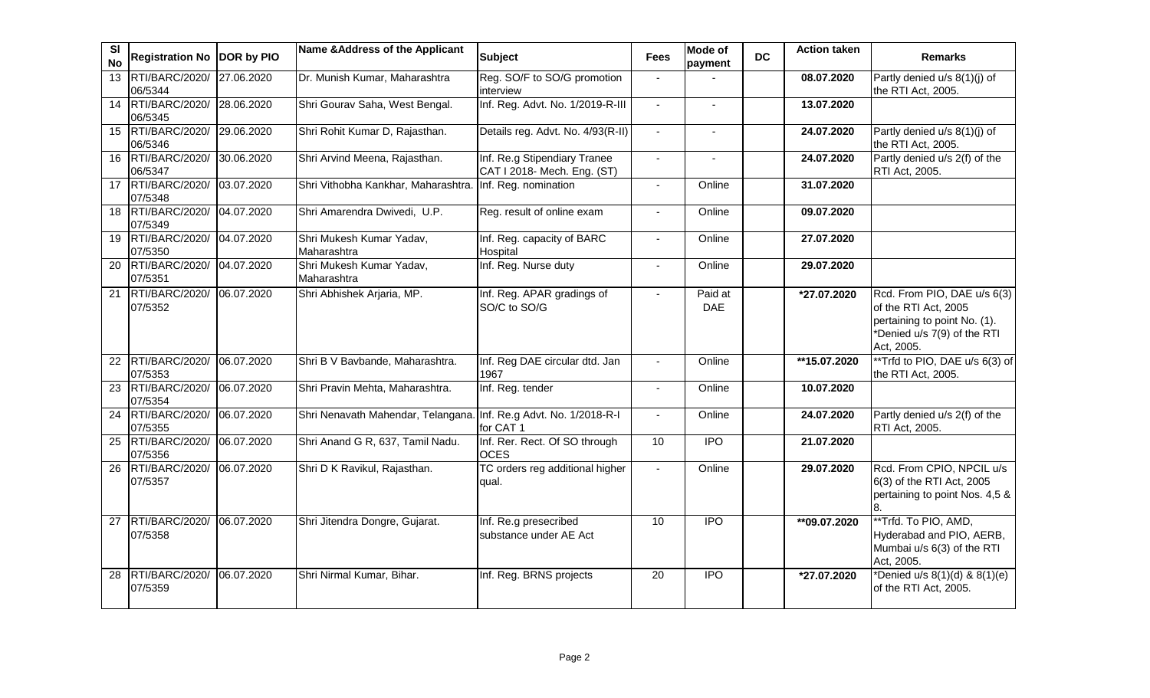| <b>SI</b><br><b>No</b> | Registration No DOR by PIO   |            | Name & Address of the Applicant         | <b>Subject</b>                                              | <b>Fees</b>     | Mode of<br>payment    | <b>DC</b> | <b>Action taken</b> | <b>Remarks</b>                                                                                                                   |
|------------------------|------------------------------|------------|-----------------------------------------|-------------------------------------------------------------|-----------------|-----------------------|-----------|---------------------|----------------------------------------------------------------------------------------------------------------------------------|
| 13                     | RTI/BARC/2020/<br>06/5344    | 27.06.2020 | Dr. Munish Kumar, Maharashtra           | Reg. SO/F to SO/G promotion<br>interview                    |                 |                       |           | 08.07.2020          | Partly denied u/s 8(1)(j) of<br>the RTI Act, 2005.                                                                               |
|                        | 14 RTI/BARC/2020/<br>06/5345 | 28.06.2020 | Shri Gourav Saha, West Bengal.          | Inf. Reg. Advt. No. 1/2019-R-III                            | $\blacksquare$  | $\blacksquare$        |           | 13.07.2020          |                                                                                                                                  |
|                        | 15 RTI/BARC/2020/<br>06/5346 | 29.06.2020 | Shri Rohit Kumar D, Rajasthan.          | Details reg. Advt. No. 4/93(R-II)                           | $\sim$          |                       |           | 24.07.2020          | Partly denied u/s 8(1)(j) of<br>the RTI Act, 2005.                                                                               |
|                        | 16 RTI/BARC/2020/<br>06/5347 | 30.06.2020 | Shri Arvind Meena, Rajasthan.           | Inf. Re.g Stipendiary Tranee<br>CAT I 2018- Mech. Eng. (ST) | $\blacksquare$  | $\blacksquare$        |           | 24.07.2020          | Partly denied u/s 2(f) of the<br>RTI Act, 2005.                                                                                  |
| 17                     | RTI/BARC/2020/<br>07/5348    | 03.07.2020 | Shri Vithobha Kankhar, Maharashtra.     | Inf. Reg. nomination                                        |                 | Online                |           | 31.07.2020          |                                                                                                                                  |
|                        | 18 RTI/BARC/2020/<br>07/5349 | 04.07.2020 | Shri Amarendra Dwivedi, U.P.            | Reg. result of online exam                                  | $\overline{a}$  | Online                |           | 09.07.2020          |                                                                                                                                  |
|                        | 19 RTI/BARC/2020/<br>07/5350 | 04.07.2020 | Shri Mukesh Kumar Yadav,<br>Maharashtra | Inf. Reg. capacity of BARC<br>Hospital                      |                 | Online                |           | 27.07.2020          |                                                                                                                                  |
| $\overline{20}$        | RTI/BARC/2020/<br>07/5351    | 04.07.2020 | Shri Mukesh Kumar Yadav,<br>Maharashtra | Inf. Reg. Nurse duty                                        | $\blacksquare$  | Online                |           | 29.07.2020          |                                                                                                                                  |
| $\overline{21}$        | RTI/BARC/2020/<br>07/5352    | 06.07.2020 | Shri Abhishek Arjaria, MP.              | Inf. Reg. APAR gradings of<br>SO/C to SO/G                  | $\overline{a}$  | Paid at<br><b>DAE</b> |           | *27.07.2020         | Rcd. From PIO, DAE u/s 6(3)<br>of the RTI Act, 2005<br>pertaining to point No. (1).<br>*Denied u/s 7(9) of the RTI<br>Act, 2005. |
| 22                     | RTI/BARC/2020/<br>07/5353    | 06.07.2020 | Shri B V Bavbande, Maharashtra.         | Inf. Reg DAE circular dtd. Jan<br>1967                      |                 | Online                |           | **15.07.2020        | **Trfd to PIO, DAE u/s 6(3) of<br>the RTI Act, 2005.                                                                             |
| 23                     | RTI/BARC/2020/<br>07/5354    | 06.07.2020 | Shri Pravin Mehta, Maharashtra.         | Inf. Reg. tender                                            | $\blacksquare$  | Online                |           | 10.07.2020          |                                                                                                                                  |
|                        | 24 RTI/BARC/2020/<br>07/5355 | 06.07.2020 | Shri Nenavath Mahendar, Telangana.      | Inf. Re.g Advt. No. 1/2018-R-I<br>for CAT 1                 | $\blacksquare$  | Online                |           | 24.07.2020          | Partly denied u/s 2(f) of the<br>RTI Act, 2005.                                                                                  |
| 25                     | RTI/BARC/2020/<br>07/5356    | 06.07.2020 | Shri Anand G R, 637, Tamil Nadu.        | Inf. Rer. Rect. Of SO through<br><b>OCES</b>                | $\overline{10}$ | <b>IPO</b>            |           | 21.07.2020          |                                                                                                                                  |
| 26                     | RTI/BARC/2020/<br>07/5357    | 06.07.2020 | Shri D K Ravikul, Rajasthan.            | TC orders reg additional higher<br>qual.                    | $\blacksquare$  | Online                |           | 29.07.2020          | Rcd. From CPIO, NPCIL u/s<br>6(3) of the RTI Act, 2005<br>pertaining to point Nos. 4,5 &<br>8.                                   |
| 27                     | RTI/BARC/2020/<br>07/5358    | 06.07.2020 | Shri Jitendra Dongre, Gujarat.          | Inf. Re.g presecribed<br>substance under AE Act             | 10              | $\overline{1}$        |           | **09.07.2020        | **Trfd. To PIO, AMD,<br>Hyderabad and PIO, AERB,<br>Mumbai u/s 6(3) of the RTI<br>Act, 2005.                                     |
| 28                     | RTI/BARC/2020/<br>07/5359    | 06.07.2020 | Shri Nirmal Kumar, Bihar.               | Inf. Reg. BRNS projects                                     | $\overline{20}$ | $\overline{1}$        |           | *27.07.2020         | *Denied u/s 8(1)(d) & 8(1)(e)<br>of the RTI Act, 2005.                                                                           |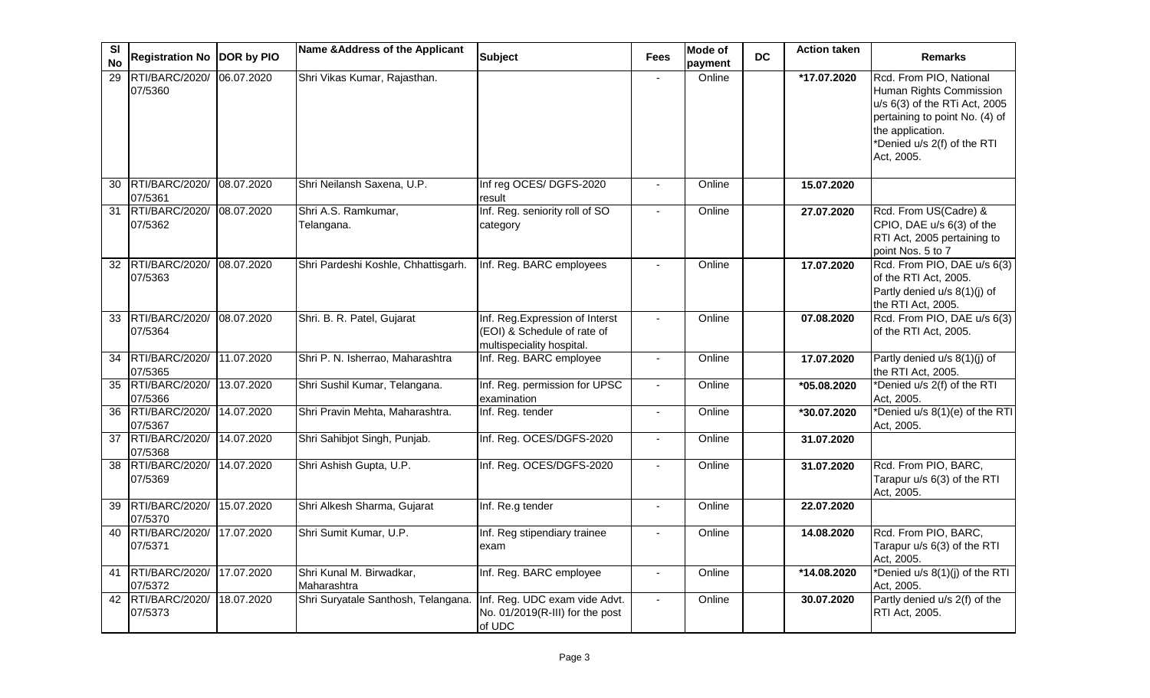| <b>SI</b><br><b>No</b> | Registration No DOR by PIO       |            | Name & Address of the Applicant         | <b>Subject</b>                                                                              | <b>Fees</b>              | <b>Mode of</b><br>payment | <b>DC</b> | <b>Action taken</b> | <b>Remarks</b>                                                                                                                                                                         |
|------------------------|----------------------------------|------------|-----------------------------------------|---------------------------------------------------------------------------------------------|--------------------------|---------------------------|-----------|---------------------|----------------------------------------------------------------------------------------------------------------------------------------------------------------------------------------|
| $\overline{29}$        | <b>RTI/BARC/2020/</b><br>07/5360 | 06.07.2020 | Shri Vikas Kumar, Rajasthan.            |                                                                                             | $\blacksquare$           | Online                    |           | *17.07.2020         | Rcd. From PIO, National<br>Human Rights Commission<br>u/s 6(3) of the RTi Act, 2005<br>pertaining to point No. (4) of<br>the application.<br>*Denied u/s 2(f) of the RTI<br>Act, 2005. |
| 30                     | RTI/BARC/2020/<br>07/5361        | 08.07.2020 | Shri Neilansh Saxena, U.P.              | Inf reg OCES/ DGFS-2020<br>result                                                           |                          | Online                    |           | 15.07.2020          |                                                                                                                                                                                        |
| 31                     | RTI/BARC/2020/<br>07/5362        | 08.07.2020 | Shri A.S. Ramkumar,<br>Telangana.       | Inf. Reg. seniority roll of SO<br>category                                                  |                          | Online                    |           | 27.07.2020          | Rcd. From US(Cadre) &<br>CPIO, DAE u/s 6(3) of the<br>RTI Act, 2005 pertaining to<br>point Nos. 5 to 7                                                                                 |
|                        | 32 RTI/BARC/2020/<br>07/5363     | 08.07.2020 | Shri Pardeshi Koshle, Chhattisgarh.     | Inf. Reg. BARC employees                                                                    |                          | Online                    |           | 17.07.2020          | Rcd. From PIO, DAE u/s 6(3)<br>of the RTI Act, 2005.<br>Partly denied u/s 8(1)(j) of<br>the RTI Act, 2005.                                                                             |
| 33                     | RTI/BARC/2020/<br>07/5364        | 08.07.2020 | Shri. B. R. Patel, Gujarat              | Inf. Reg. Expression of Interst<br>(EOI) & Schedule of rate of<br>multispeciality hospital. |                          | Online                    |           | 07.08.2020          | Rcd. From PIO, DAE u/s 6(3)<br>of the RTI Act, 2005.                                                                                                                                   |
| 34                     | RTI/BARC/2020/<br>07/5365        | 11.07.2020 | Shri P. N. Isherrao, Maharashtra        | Inf. Reg. BARC employee                                                                     |                          | Online                    |           | 17.07.2020          | Partly denied u/s 8(1)(j) of<br>the RTI Act, 2005.                                                                                                                                     |
| 35                     | RTI/BARC/2020/<br>07/5366        | 13.07.2020 | Shri Sushil Kumar, Telangana.           | Inf. Reg. permission for UPSC<br>examination                                                |                          | Online                    |           | *05.08.2020         | *Denied u/s 2(f) of the RTI<br>Act, 2005.                                                                                                                                              |
| 36                     | RTI/BARC/2020/<br>07/5367        | 14.07.2020 | Shri Pravin Mehta, Maharashtra.         | Inf. Reg. tender                                                                            | $\overline{\phantom{a}}$ | Online                    |           | *30.07.2020         | *Denied u/s 8(1)(e) of the RTI<br>Act, 2005.                                                                                                                                           |
| 37                     | RTI/BARC/2020/<br>07/5368        | 14.07.2020 | Shri Sahibjot Singh, Punjab.            | Inf. Reg. OCES/DGFS-2020                                                                    |                          | Online                    |           | 31.07.2020          |                                                                                                                                                                                        |
| 38                     | RTI/BARC/2020/<br>07/5369        | 14.07.2020 | Shri Ashish Gupta, U.P.                 | Inf. Reg. OCES/DGFS-2020                                                                    | $\overline{\phantom{a}}$ | Online                    |           | 31.07.2020          | Rcd. From PIO, BARC,<br>Tarapur u/s 6(3) of the RTI<br>Act, 2005.                                                                                                                      |
| 39                     | RTI/BARC/2020/<br>07/5370        | 15.07.2020 | Shri Alkesh Sharma, Gujarat             | Inf. Re.g tender                                                                            | $\blacksquare$           | Online                    |           | 22.07.2020          |                                                                                                                                                                                        |
| 40                     | RTI/BARC/2020/<br>07/5371        | 17.07.2020 | Shri Sumit Kumar, U.P.                  | Inf. Reg stipendiary trainee<br>exam                                                        |                          | Online                    |           | 14.08.2020          | Rcd. From PIO, BARC,<br>Tarapur u/s 6(3) of the RTI<br>Act, 2005.                                                                                                                      |
| 41                     | RTI/BARC/2020/<br>07/5372        | 17.07.2020 | Shri Kunal M. Birwadkar,<br>Maharashtra | Inf. Reg. BARC employee                                                                     |                          | Online                    |           | *14.08.2020         | *Denied u/s 8(1)(j) of the RTI<br>Act, 2005.                                                                                                                                           |
| 42                     | RTI/BARC/2020/<br>07/5373        | 18.07.2020 | Shri Suryatale Santhosh, Telangana.     | Inf. Reg. UDC exam vide Advt.<br>No. 01/2019(R-III) for the post<br>of UDC                  |                          | Online                    |           | 30.07.2020          | Partly denied u/s 2(f) of the<br>RTI Act, 2005.                                                                                                                                        |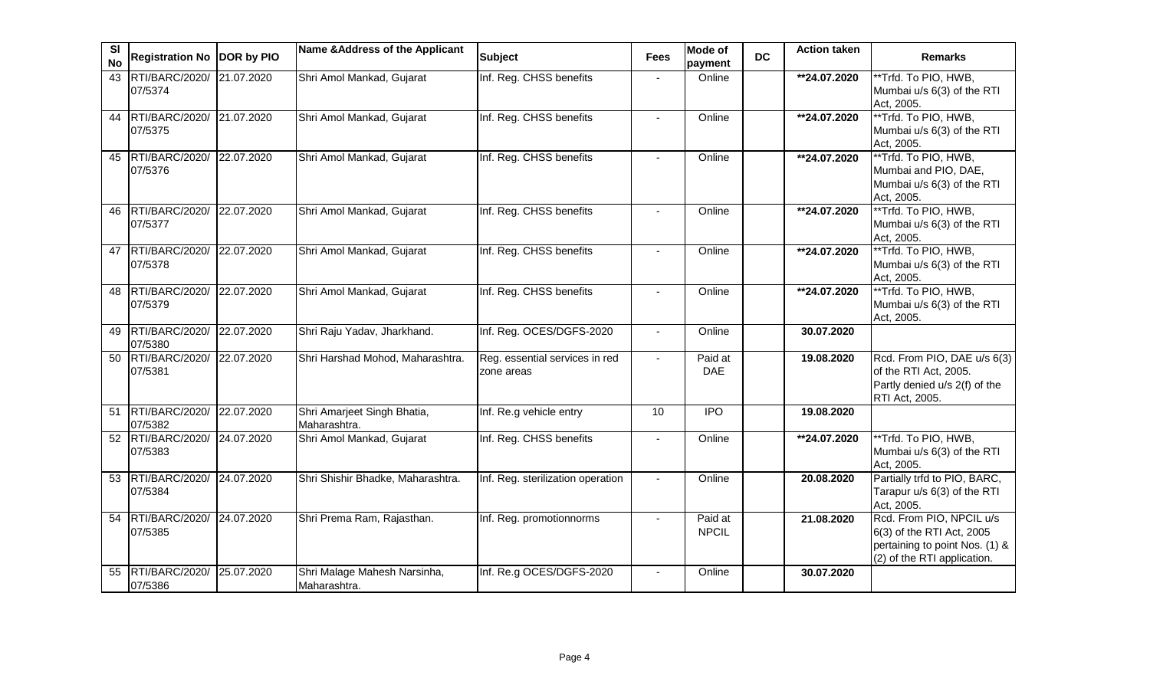| SI<br><b>No</b> | <b>Registration No</b>       | DOR by PIO | Name & Address of the Applicant              | <b>Subject</b>                               | <b>Fees</b> | <b>Mode of</b><br>payment | <b>DC</b> | <b>Action taken</b> | <b>Remarks</b>                                                                                                         |
|-----------------|------------------------------|------------|----------------------------------------------|----------------------------------------------|-------------|---------------------------|-----------|---------------------|------------------------------------------------------------------------------------------------------------------------|
| 43              | RTI/BARC/2020/<br>07/5374    | 21.07.2020 | Shri Amol Mankad, Gujarat                    | Inf. Reg. CHSS benefits                      |             | Online                    |           | **24.07.2020        | **Trfd. To PIO, HWB,<br>Mumbai u/s 6(3) of the RTI<br>Act, 2005.                                                       |
| 44              | RTI/BARC/2020/<br>07/5375    | 21.07.2020 | Shri Amol Mankad, Gujarat                    | Inf. Reg. CHSS benefits                      |             | Online                    |           | **24.07.2020        | **Trfd. To PIO, HWB,<br>Mumbai u/s 6(3) of the RTI<br>Act, 2005.                                                       |
| 45              | RTI/BARC/2020/<br>07/5376    | 22.07.2020 | Shri Amol Mankad, Gujarat                    | Inf. Reg. CHSS benefits                      |             | Online                    |           | **24.07.2020        | **Trfd. To PIO, HWB,<br>Mumbai and PIO, DAE,<br>Mumbai u/s 6(3) of the RTI<br>Act, 2005.                               |
| 46              | RTI/BARC/2020/<br>07/5377    | 22.07.2020 | Shri Amol Mankad, Gujarat                    | Inf. Reg. CHSS benefits                      |             | Online                    |           | **24.07.2020        | **Trfd. To PIO, HWB,<br>Mumbai u/s 6(3) of the RTI<br>Act, 2005.                                                       |
| 47              | RTI/BARC/2020/<br>07/5378    | 22.07.2020 | Shri Amol Mankad, Gujarat                    | Inf. Reg. CHSS benefits                      |             | Online                    |           | **24.07.2020        | ** Trfd. To PIO, HWB,<br>Mumbai u/s 6(3) of the RTI<br>Act, 2005.                                                      |
| 48              | RTI/BARC/2020/<br>07/5379    | 22.07.2020 | Shri Amol Mankad, Gujarat                    | Inf. Reg. CHSS benefits                      |             | Online                    |           | **24.07.2020        | **Trfd. To PIO, HWB,<br>Mumbai u/s 6(3) of the RTI<br>Act, 2005.                                                       |
| 49              | RTI/BARC/2020/<br>07/5380    | 22.07.2020 | Shri Raju Yadav, Jharkhand.                  | Inf. Reg. OCES/DGFS-2020                     |             | Online                    |           | 30.07.2020          |                                                                                                                        |
| 50              | RTI/BARC/2020/<br>07/5381    | 22.07.2020 | Shri Harshad Mohod, Maharashtra.             | Reg. essential services in red<br>zone areas |             | Paid at<br><b>DAE</b>     |           | 19.08.2020          | Rcd. From PIO, DAE u/s 6(3)<br>of the RTI Act, 2005.<br>Partly denied u/s 2(f) of the<br>RTI Act, 2005.                |
| 51              | RTI/BARC/2020/<br>07/5382    | 22.07.2020 | Shri Amarjeet Singh Bhatia,<br>Maharashtra.  | Inf. Re.g vehicle entry                      | 10          | $\overline{IPO}$          |           | 19.08.2020          |                                                                                                                        |
|                 | 52 RTI/BARC/2020/<br>07/5383 | 24.07.2020 | Shri Amol Mankad, Gujarat                    | Inf. Reg. CHSS benefits                      |             | Online                    |           | **24.07.2020        | **Trfd. To PIO, HWB,<br>Mumbai u/s 6(3) of the RTI<br>Act, 2005.                                                       |
|                 | 53 RTI/BARC/2020/<br>07/5384 | 24.07.2020 | Shri Shishir Bhadke, Maharashtra.            | Inf. Reg. sterilization operation            |             | Online                    |           | 20.08.2020          | Partially trfd to PIO, BARC,<br>Tarapur u/s 6(3) of the RTI<br>Act, 2005.                                              |
| 54              | RTI/BARC/2020/<br>07/5385    | 24.07.2020 | Shri Prema Ram, Rajasthan.                   | Inf. Reg. promotionnorms                     |             | Paid at<br><b>NPCIL</b>   |           | 21.08.2020          | Rcd. From PIO, NPCIL u/s<br>6(3) of the RTI Act, 2005<br>pertaining to point Nos. (1) &<br>(2) of the RTI application. |
| 55              | RTI/BARC/2020/<br>07/5386    | 25.07.2020 | Shri Malage Mahesh Narsinha,<br>Maharashtra. | Inf. Re.g OCES/DGFS-2020                     |             | Online                    |           | 30.07.2020          |                                                                                                                        |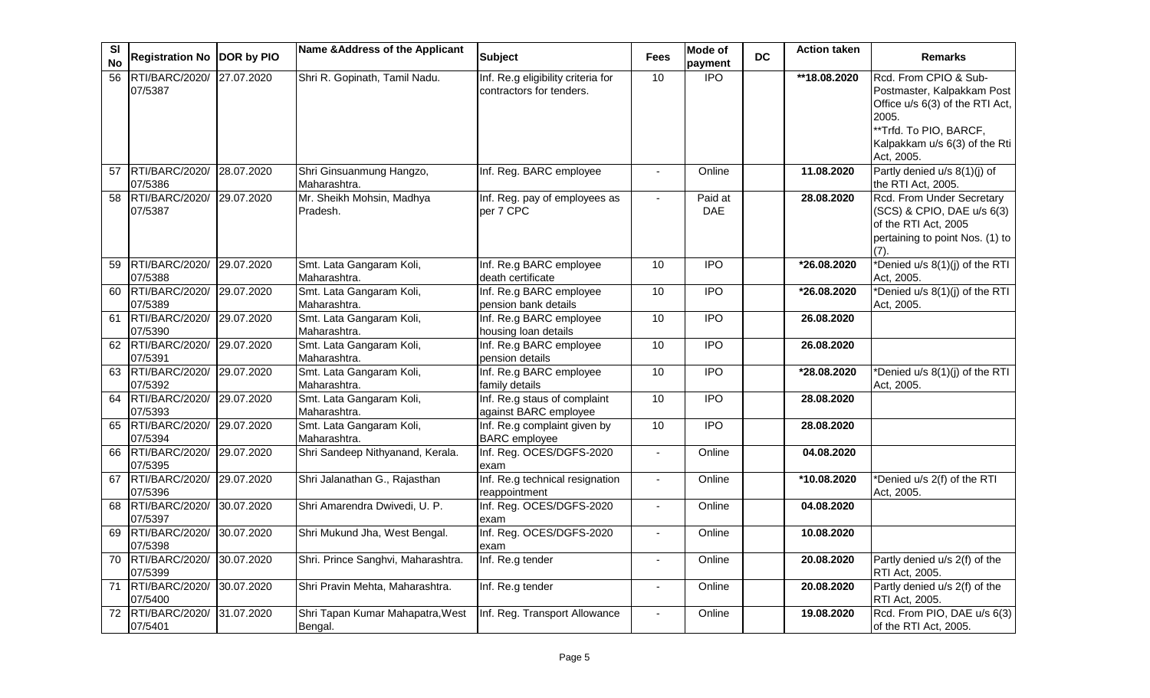| SI<br><b>No</b> | Registration No DOR by PIO              |            | Name & Address of the Applicant             | <b>Subject</b>                                                 | <b>Fees</b>              | Mode of<br>payment    | <b>DC</b> | <b>Action taken</b> | <b>Remarks</b>                                                                                                                                                           |
|-----------------|-----------------------------------------|------------|---------------------------------------------|----------------------------------------------------------------|--------------------------|-----------------------|-----------|---------------------|--------------------------------------------------------------------------------------------------------------------------------------------------------------------------|
| $\overline{56}$ | RTI/BARC/2020/ 27.07.2020<br>07/5387    |            | Shri R. Gopinath, Tamil Nadu.               | Inf. Re.g eligibility criteria for<br>contractors for tenders. | 10                       | $\overline{1}$        |           | **18.08.2020        | Rcd. From CPIO & Sub-<br>Postmaster, Kalpakkam Post<br>Office u/s 6(3) of the RTI Act,<br>2005.<br>**Trfd. To PIO, BARCF,<br>Kalpakkam u/s 6(3) of the Rti<br>Act, 2005. |
| 57              | RTI/BARC/2020/<br>07/5386               | 28.07.2020 | Shri Ginsuanmung Hangzo,<br>Maharashtra.    | Inf. Reg. BARC employee                                        |                          | Online                |           | 11.08.2020          | Partly denied u/s 8(1)(j) of<br>the RTI Act, 2005.                                                                                                                       |
| $\overline{58}$ | RTI/BARC/2020/<br>07/5387               | 29.07.2020 | Mr. Sheikh Mohsin, Madhya<br>Pradesh.       | Inf. Reg. pay of employees as<br>per 7 CPC                     |                          | Paid at<br><b>DAE</b> |           | 28.08.2020          | Rcd. From Under Secretary<br>(SCS) & CPIO, DAE u/s 6(3)<br>of the RTI Act, 2005<br>pertaining to point Nos. (1) to<br>(7).                                               |
| 59              | RTI/BARC/2020/<br>07/5388               | 29.07.2020 | Smt. Lata Gangaram Koli,<br>Maharashtra.    | Inf. Re.g BARC employee<br>death certificate                   | 10                       | <b>IPO</b>            |           | *26.08.2020         | *Denied u/s 8(1)(j) of the RTI<br>Act, 2005.                                                                                                                             |
| 60              | RTI/BARC/2020/ 29.07.2020<br>07/5389    |            | Smt. Lata Gangaram Koli,<br>Maharashtra.    | Inf. Re.g BARC employee<br>pension bank details                | 10                       | <b>IPO</b>            |           | *26.08.2020         | *Denied u/s 8(1)(j) of the RTI<br>Act, 2005.                                                                                                                             |
|                 | 61 RTI/BARC/2020/ 29.07.2020<br>07/5390 |            | Smt. Lata Gangaram Koli,<br>Maharashtra.    | Inf. Re.g BARC employee<br>housing loan details                | 10                       | <b>IPO</b>            |           | 26.08.2020          |                                                                                                                                                                          |
|                 | 62 RTI/BARC/2020/<br>07/5391            | 29.07.2020 | Smt. Lata Gangaram Koli,<br>Maharashtra.    | Inf. Re.g BARC employee<br>pension details                     | 10                       | $\overline{IPO}$      |           | 26.08.2020          |                                                                                                                                                                          |
| 63              | RTI/BARC/2020/<br>07/5392               | 29.07.2020 | Smt. Lata Gangaram Koli,<br>Maharashtra.    | Inf. Re.g BARC employee<br>family details                      | 10                       | $\overline{IPO}$      |           | *28.08.2020         | *Denied u/s 8(1)(j) of the RTI<br>Act, 2005.                                                                                                                             |
|                 | 64 RTI/BARC/2020/ 29.07.2020<br>07/5393 |            | Smt. Lata Gangaram Koli,<br>Maharashtra.    | Inf. Re.g staus of complaint<br>against BARC employee          | 10                       | $\overline{IPO}$      |           | 28.08.2020          |                                                                                                                                                                          |
| 65              | RTI/BARC/2020/<br>07/5394               | 29.07.2020 | Smt. Lata Gangaram Koli,<br>Maharashtra.    | Inf. Re.g complaint given by<br><b>BARC</b> employee           | 10                       | <b>IPO</b>            |           | 28.08.2020          |                                                                                                                                                                          |
|                 | 66 RTI/BARC/2020/ 29.07.2020<br>07/5395 |            | Shri Sandeep Nithyanand, Kerala.            | Inf. Reg. OCES/DGFS-2020<br>exam                               |                          | Online                |           | 04.08.2020          |                                                                                                                                                                          |
| 67              | RTI/BARC/2020/<br>07/5396               | 29.07.2020 | Shri Jalanathan G., Rajasthan               | Inf. Re.g technical resignation<br>reappointment               | $\overline{a}$           | Online                |           | *10.08.2020         | *Denied u/s 2(f) of the RTI<br>Act, 2005.                                                                                                                                |
| 68              | RTI/BARC/2020/<br>07/5397               | 30.07.2020 | Shri Amarendra Dwivedi, U. P.               | Inf. Reg. OCES/DGFS-2020<br>exam                               | $\blacksquare$           | Online                |           | 04.08.2020          |                                                                                                                                                                          |
| 69              | RTI/BARC/2020/<br>07/5398               | 30.07.2020 | Shri Mukund Jha, West Bengal.               | Inf. Reg. OCES/DGFS-2020<br>exam                               |                          | Online                |           | 10.08.2020          |                                                                                                                                                                          |
|                 | 70 RTI/BARC/2020/<br>07/5399            | 30.07.2020 | Shri. Prince Sanghvi, Maharashtra.          | Inf. Re.g tender                                               | $\overline{\phantom{a}}$ | Online                |           | 20.08.2020          | Partly denied u/s 2(f) of the<br>RTI Act, 2005.                                                                                                                          |
|                 | 71 RTI/BARC/2020/<br>07/5400            | 30.07.2020 | Shri Pravin Mehta, Maharashtra.             | Inf. Re.g tender                                               | $\blacksquare$           | Online                |           | 20.08.2020          | Partly denied u/s 2(f) of the<br>RTI Act, 2005.                                                                                                                          |
|                 | 72 RTI/BARC/2020/ 31.07.2020<br>07/5401 |            | Shri Tapan Kumar Mahapatra, West<br>Bengal. | Inf. Reg. Transport Allowance                                  |                          | Online                |           | 19.08.2020          | Rcd. From PIO, DAE u/s 6(3)<br>of the RTI Act, 2005.                                                                                                                     |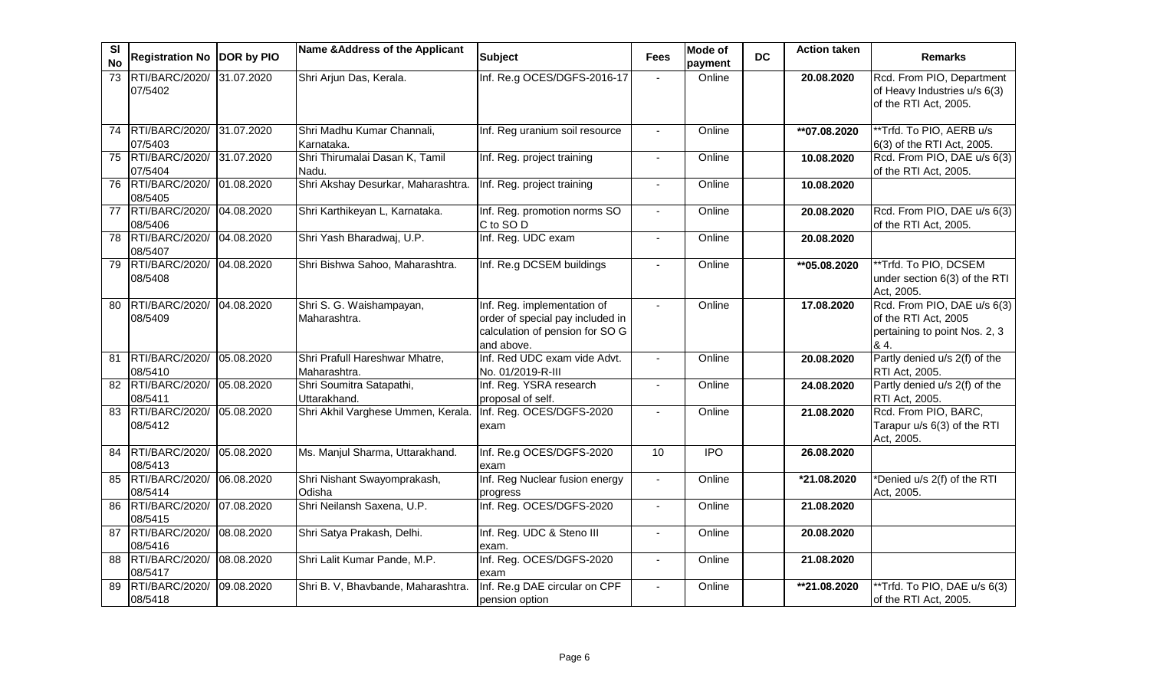| SI<br><b>No</b> | Registration No DOR by PIO           |            | Name & Address of the Applicant                | <b>Subject</b>                                                                                                   | <b>Fees</b>    | Mode of<br>payment | <b>DC</b> | <b>Action taken</b> | <b>Remarks</b>                                                                               |
|-----------------|--------------------------------------|------------|------------------------------------------------|------------------------------------------------------------------------------------------------------------------|----------------|--------------------|-----------|---------------------|----------------------------------------------------------------------------------------------|
| 73              | RTI/BARC/2020/<br>07/5402            | 31.07.2020 | Shri Arjun Das, Kerala.                        | Inf. Re.g OCES/DGFS-2016-17                                                                                      |                | Online             |           | 20.08.2020          | Rcd. From PIO, Department<br>of Heavy Industries u/s 6(3)<br>of the RTI Act, 2005.           |
| 74              | RTI/BARC/2020/ 31.07.2020<br>07/5403 |            | Shri Madhu Kumar Channali,<br>Karnataka.       | Inf. Reg uranium soil resource                                                                                   |                | Online             |           | **07.08.2020        | ** Trfd. To PIO, AERB u/s<br>6(3) of the RTI Act, 2005.                                      |
|                 | 75 RTI/BARC/2020/<br>07/5404         | 31.07.2020 | Shri Thirumalai Dasan K, Tamil<br>Nadu.        | Inf. Reg. project training                                                                                       | $\sim$         | Online             |           | 10.08.2020          | Rcd. From PIO, DAE u/s 6(3)<br>of the RTI Act, 2005.                                         |
|                 | 76 RTI/BARC/2020/<br>08/5405         | 01.08.2020 | Shri Akshay Desurkar, Maharashtra.             | Inf. Reg. project training                                                                                       |                | Online             |           | 10.08.2020          |                                                                                              |
| 77              | RTI/BARC/2020/<br>08/5406            | 04.08.2020 | Shri Karthikeyan L, Karnataka.                 | Inf. Reg. promotion norms SO<br>C to SO D                                                                        |                | Online             |           | 20.08.2020          | Rcd. From PIO, DAE u/s 6(3)<br>of the RTI Act, 2005.                                         |
| 78              | RTI/BARC/2020/<br>08/5407            | 04.08.2020 | Shri Yash Bharadwaj, U.P.                      | Inf. Reg. UDC exam                                                                                               | $\blacksquare$ | Online             |           | 20.08.2020          |                                                                                              |
| $\overline{79}$ | RTI/BARC/2020/<br>08/5408            | 04.08.2020 | Shri Bishwa Sahoo, Maharashtra.                | Inf. Re.g DCSEM buildings                                                                                        | $\blacksquare$ | Online             |           | **05.08.2020        | **Trfd. To PIO, DCSEM<br>under section 6(3) of the RTI<br>Act, 2005.                         |
| 80              | RTI/BARC/2020/<br>08/5409            | 04.08.2020 | Shri S. G. Waishampayan,<br>Maharashtra.       | Inf. Reg. implementation of<br>order of special pay included in<br>calculation of pension for SO G<br>and above. |                | Online             |           | 17.08.2020          | Rcd. From PIO, DAE u/s 6(3)<br>of the RTI Act, 2005<br>pertaining to point Nos. 2, 3<br>& 4. |
| 81              | RTI/BARC/2020/<br>08/5410            | 05.08.2020 | Shri Prafull Hareshwar Mhatre,<br>Maharashtra. | Inf. Red UDC exam vide Advt.<br>No. 01/2019-R-III                                                                |                | Online             |           | 20.08.2020          | Partly denied u/s 2(f) of the<br>RTI Act, 2005.                                              |
| $\overline{82}$ | RTI/BARC/2020/<br>08/5411            | 05.08.2020 | Shri Soumitra Satapathi,<br>Uttarakhand.       | Inf. Reg. YSRA research<br>proposal of self.                                                                     |                | Online             |           | 24.08.2020          | Partly denied u/s 2(f) of the<br>RTI Act, 2005.                                              |
| 83              | RTI/BARC/2020/<br>08/5412            | 05.08.2020 | Shri Akhil Varghese Ummen, Kerala.             | Inf. Reg. OCES/DGFS-2020<br>exam                                                                                 |                | Online             |           | 21.08.2020          | Rcd. From PIO, BARC,<br>Tarapur u/s 6(3) of the RTI<br>Act, 2005.                            |
| 84              | RTI/BARC/2020/<br>08/5413            | 05.08.2020 | Ms. Manjul Sharma, Uttarakhand.                | Inf. Re.g OCES/DGFS-2020<br>exam                                                                                 | 10             | $\overline{1}$     |           | 26.08.2020          |                                                                                              |
| 85              | RTI/BARC/2020/<br>08/5414            | 06.08.2020 | Shri Nishant Swayomprakash,<br>Odisha          | Inf. Reg Nuclear fusion energy<br>progress                                                                       |                | Online             |           | *21.08.2020         | *Denied u/s 2(f) of the RTI<br>Act, 2005.                                                    |
| $\overline{86}$ | RTI/BARC/2020/<br>08/5415            | 07.08.2020 | Shri Neilansh Saxena, U.P.                     | Inf. Reg. OCES/DGFS-2020                                                                                         |                | Online             |           | 21.08.2020          |                                                                                              |
| 87              | RTI/BARC/2020/<br>08/5416            | 08.08.2020 | Shri Satya Prakash, Delhi.                     | Inf. Reg. UDC & Steno III<br>exam.                                                                               |                | Online             |           | 20.08.2020          |                                                                                              |
| 88              | RTI/BARC/2020/<br>08/5417            | 08.08.2020 | Shri Lalit Kumar Pande, M.P.                   | Inf. Reg. OCES/DGFS-2020<br>exam                                                                                 | $\blacksquare$ | Online             |           | 21.08.2020          |                                                                                              |
| 89              | RTI/BARC/2020/<br>08/5418            | 09.08.2020 | Shri B. V, Bhavbande, Maharashtra.             | Inf. Re.g DAE circular on CPF<br>pension option                                                                  |                | Online             |           | **21.08.2020        | **Trfd. To PIO, DAE u/s 6(3)<br>of the RTI Act, 2005.                                        |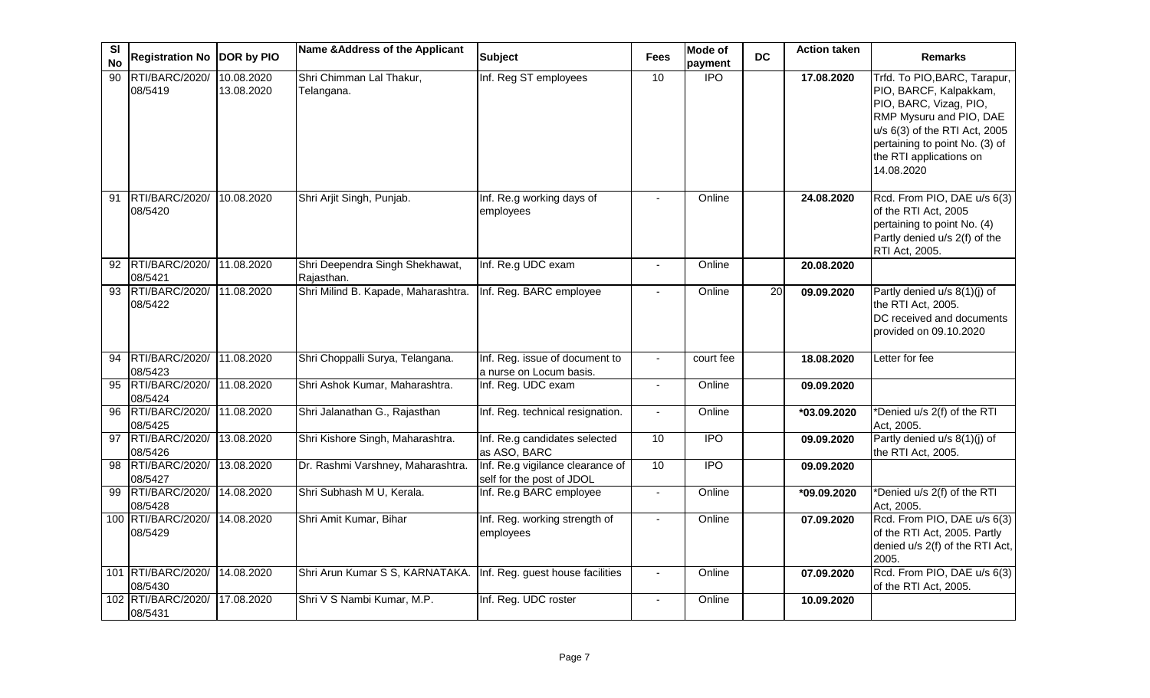| SI<br><b>No</b> | Registration No DOR by PIO              |                          | Name & Address of the Applicant               | <b>Subject</b>                                                | <b>Fees</b>    | <b>Mode of</b><br>payment | <b>DC</b>       | <b>Action taken</b> | <b>Remarks</b>                                                                                                                                                                                                          |
|-----------------|-----------------------------------------|--------------------------|-----------------------------------------------|---------------------------------------------------------------|----------------|---------------------------|-----------------|---------------------|-------------------------------------------------------------------------------------------------------------------------------------------------------------------------------------------------------------------------|
| 90              | RTI/BARC/2020/<br>08/5419               | 10.08.2020<br>13.08.2020 | Shri Chimman Lal Thakur,<br>Telangana.        | Inf. Reg ST employees                                         | 10             | $\overline{1}$            |                 | 17.08.2020          | Trfd. To PIO, BARC, Tarapur,<br>PIO, BARCF, Kalpakkam,<br>PIO, BARC, Vizag, PIO,<br>RMP Mysuru and PIO, DAE<br>u/s 6(3) of the RTI Act, 2005<br>pertaining to point No. (3) of<br>the RTI applications on<br>14.08.2020 |
| 91              | RTI/BARC/2020/<br>08/5420               | 10.08.2020               | Shri Arjit Singh, Punjab.                     | Inf. Re.g working days of<br>employees                        |                | Online                    |                 | 24.08.2020          | Rcd. From PIO, DAE u/s 6(3)<br>of the RTI Act, 2005<br>pertaining to point No. (4)<br>Partly denied u/s 2(f) of the<br>RTI Act, 2005.                                                                                   |
|                 | 92 RTI/BARC/2020/ 11.08.2020<br>08/5421 |                          | Shri Deependra Singh Shekhawat,<br>Rajasthan. | Inf. Re.g UDC exam                                            |                | Online                    |                 | 20.08.2020          |                                                                                                                                                                                                                         |
| $\overline{93}$ | RTI/BARC/2020/<br>08/5422               | 11.08.2020               | Shri Milind B. Kapade, Maharashtra.           | Inf. Reg. BARC employee                                       |                | Online                    | $\overline{20}$ | 09.09.2020          | Partly denied u/s 8(1)(j) of<br>the RTI Act, 2005.<br>DC received and documents<br>provided on 09.10.2020                                                                                                               |
| 94              | RTI/BARC/2020/<br>08/5423               | 11.08.2020               | Shri Choppalli Surya, Telangana.              | Inf. Reg. issue of document to<br>a nurse on Locum basis.     |                | court fee                 |                 | 18.08.2020          | Letter for fee                                                                                                                                                                                                          |
| 95              | RTI/BARC/2020/<br>08/5424               | 11.08.2020               | Shri Ashok Kumar, Maharashtra.                | Inf. Reg. UDC exam                                            | $\blacksquare$ | Online                    |                 | 09.09.2020          |                                                                                                                                                                                                                         |
| 96              | RTI/BARC/2020/<br>08/5425               | 11.08.2020               | Shri Jalanathan G., Rajasthan                 | Inf. Reg. technical resignation.                              |                | Online                    |                 | *03.09.2020         | *Denied u/s 2(f) of the RTI<br>Act, 2005.                                                                                                                                                                               |
|                 | 97 RTI/BARC/2020/<br>08/5426            | 13.08.2020               | Shri Kishore Singh, Maharashtra.              | Inf. Re.g candidates selected<br>as ASO, BARC                 | 10             | <b>IPO</b>                |                 | 09.09.2020          | Partly denied u/s 8(1)(j) of<br>the RTI Act, 2005.                                                                                                                                                                      |
| 98              | RTI/BARC/2020/<br>08/5427               | 13.08.2020               | Dr. Rashmi Varshney, Maharashtra.             | Inf. Re.g vigilance clearance of<br>self for the post of JDOL | 10             | $\overline{IPO}$          |                 | 09.09.2020          |                                                                                                                                                                                                                         |
| 99              | RTI/BARC/2020/<br>08/5428               | 14.08.2020               | Shri Subhash M U, Kerala.                     | Inf. Re.g BARC employee                                       | $\blacksquare$ | Online                    |                 | *09.09.2020         | *Denied u/s 2(f) of the RTI<br>Act, 2005.                                                                                                                                                                               |
|                 | 100 RTI/BARC/2020/<br>08/5429           | 14.08.2020               | Shri Amit Kumar, Bihar                        | Inf. Reg. working strength of<br>employees                    |                | Online                    |                 | 07.09.2020          | Rcd. From PIO, DAE u/s 6(3)<br>of the RTI Act, 2005. Partly<br>denied u/s 2(f) of the RTI Act,<br>2005.                                                                                                                 |
|                 | 101 RTI/BARC/2020/<br>08/5430           | 14.08.2020               | Shri Arun Kumar S S, KARNATAKA.               | Inf. Reg. guest house facilities                              | $\blacksquare$ | Online                    |                 | 07.09.2020          | Rcd. From PIO, DAE u/s 6(3)<br>of the RTI Act, 2005.                                                                                                                                                                    |
|                 | 102 RTI/BARC/2020/<br>08/5431           | 17.08.2020               | Shri V S Nambi Kumar, M.P.                    | Inf. Reg. UDC roster                                          | $\blacksquare$ | Online                    |                 | 10.09.2020          |                                                                                                                                                                                                                         |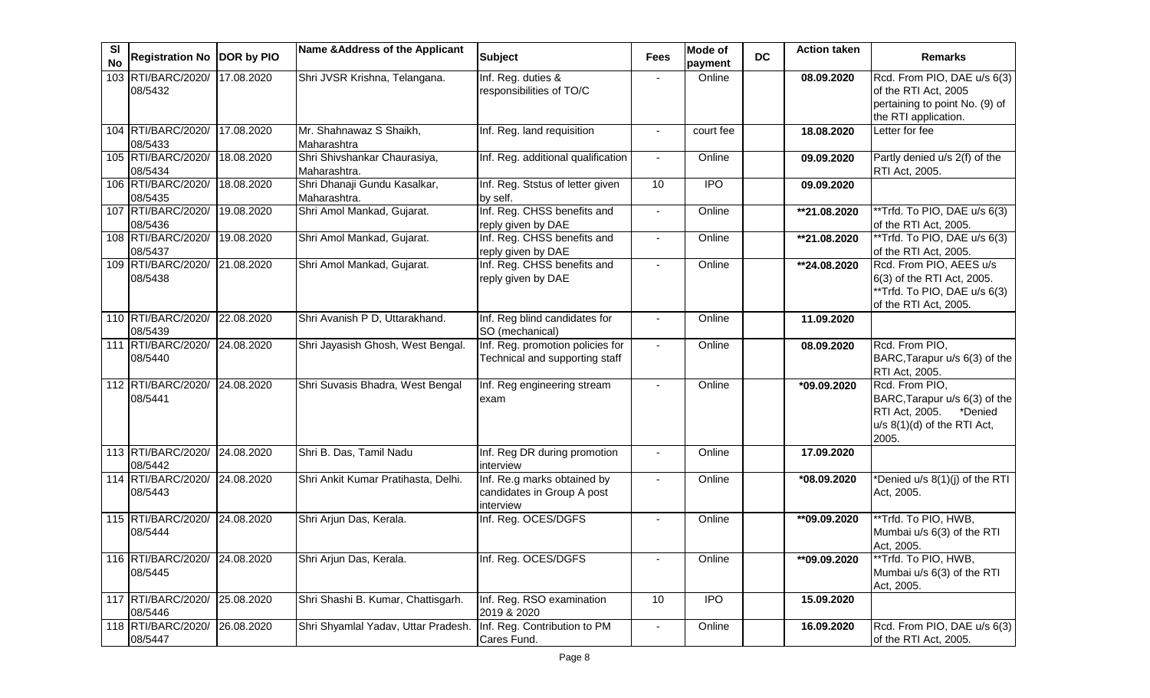| SI<br><b>No</b> | Registration No  DOR by PIO   |            | Name & Address of the Applicant              | <b>Subject</b>                                                         | <b>Fees</b>    | Mode of<br>payment | <b>DC</b> | <b>Action taken</b>      | <b>Remarks</b>                                                                                                         |
|-----------------|-------------------------------|------------|----------------------------------------------|------------------------------------------------------------------------|----------------|--------------------|-----------|--------------------------|------------------------------------------------------------------------------------------------------------------------|
|                 | 103 RTI/BARC/2020/<br>08/5432 | 17.08.2020 | Shri JVSR Krishna, Telangana.                | Inf. Reg. duties &<br>responsibilities of TO/C                         |                | Online             |           | 08.09.2020               | Rcd. From PIO, DAE u/s 6(3)<br>of the RTI Act, 2005<br>pertaining to point No. (9) of<br>the RTI application.          |
|                 | 104 RTI/BARC/2020/<br>08/5433 | 17.08.2020 | Mr. Shahnawaz S Shaikh,<br>Maharashtra       | Inf. Reg. land requisition                                             |                | court fee          |           | 18.08.2020               | Letter for fee                                                                                                         |
|                 | 105 RTI/BARC/2020/<br>08/5434 | 18.08.2020 | Shri Shivshankar Chaurasiya,<br>Maharashtra. | Inf. Reg. additional qualification                                     | $\blacksquare$ | Online             |           | 09.09.2020               | Partly denied u/s 2(f) of the<br>RTI Act, 2005.                                                                        |
|                 | 106 RTI/BARC/2020/<br>08/5435 | 18.08.2020 | Shri Dhanaji Gundu Kasalkar,<br>Maharashtra. | Inf. Reg. Ststus of letter given<br>by self.                           | 10             | <b>IPO</b>         |           | 09.09.2020               |                                                                                                                        |
|                 | 107 RTI/BARC/2020/<br>08/5436 | 19.08.2020 | Shri Amol Mankad, Gujarat.                   | Inf. Reg. CHSS benefits and<br>reply given by DAE                      |                | Online             |           | **21.08.2020             | ** Trfd. To PIO, DAE u/s 6(3)<br>of the RTI Act, 2005.                                                                 |
|                 | 108 RTI/BARC/2020/<br>08/5437 | 19.08.2020 | Shri Amol Mankad, Gujarat.                   | Inf. Reg. CHSS benefits and<br>reply given by DAE                      |                | Online             |           | **21.08.2020             | **Trfd. To PIO, DAE u/s 6(3)<br>of the RTI Act, 2005.                                                                  |
|                 | 109 RTI/BARC/2020/<br>08/5438 | 21.08.2020 | Shri Amol Mankad, Gujarat.                   | Inf. Reg. CHSS benefits and<br>reply given by DAE                      |                | Online             |           | **24.08.2020             | Rcd. From PIO, AEES u/s<br>6(3) of the RTI Act, 2005.<br>**Trfd. To PIO, DAE u/s 6(3)<br>of the RTI Act, 2005.         |
|                 | 110 RTI/BARC/2020/<br>08/5439 | 22.08.2020 | Shri Avanish P D, Uttarakhand.               | Inf. Reg blind candidates for<br>SO (mechanical)                       | $\blacksquare$ | Online             |           | 11.09.2020               |                                                                                                                        |
|                 | 111 RTI/BARC/2020/<br>08/5440 | 24.08.2020 | Shri Jayasish Ghosh, West Bengal.            | Inf. Reg. promotion policies for<br>Technical and supporting staff     | $\sim$         | Online             |           | 08.09.2020               | Rcd. From PIO,<br>BARC, Tarapur u/s 6(3) of the<br>RTI Act, 2005.                                                      |
|                 | 112 RTI/BARC/2020/<br>08/5441 | 24.08.2020 | Shri Suvasis Bhadra, West Bengal             | Inf. Reg engineering stream<br>exam                                    | $\blacksquare$ | Online             |           | *09.09.2020              | Rcd. From PIO,<br>BARC, Tarapur u/s 6(3) of the<br>*Denied<br>RTI Act, 2005.<br>$u/s$ 8(1)(d) of the RTI Act,<br>2005. |
|                 | 113 RTI/BARC/2020/<br>08/5442 | 24.08.2020 | Shri B. Das, Tamil Nadu                      | Inf. Reg DR during promotion<br>interview                              | $\blacksquare$ | Online             |           | 17.09.2020               |                                                                                                                        |
|                 | 114 RTI/BARC/2020/<br>08/5443 | 24.08.2020 | Shri Ankit Kumar Pratihasta, Delhi.          | Inf. Re.g marks obtained by<br>candidates in Group A post<br>interview |                | Online             |           | *08.09.2020              | *Denied u/s 8(1)(j) of the RTI<br>Act, 2005.                                                                           |
|                 | 115 RTI/BARC/2020/<br>08/5444 | 24.08.2020 | Shri Arjun Das, Kerala.                      | Inf. Reg. OCES/DGFS                                                    |                | Online             |           | $\overline{109.09.2020}$ | **Trfd. To PIO, HWB,<br>Mumbai u/s 6(3) of the RTI<br>Act, 2005.                                                       |
|                 | 116 RTI/BARC/2020/<br>08/5445 | 24.08.2020 | Shri Arjun Das, Kerala.                      | Inf. Reg. OCES/DGFS                                                    |                | Online             |           | **09.09.2020             | **Trfd. To PIO, HWB,<br>Mumbai u/s 6(3) of the RTI<br>Act, 2005.                                                       |
|                 | 117 RTI/BARC/2020/<br>08/5446 | 25.08.2020 | Shri Shashi B. Kumar, Chattisgarh.           | Inf. Reg. RSO examination<br>2019 & 2020                               | 10             | <b>IPO</b>         |           | 15.09.2020               |                                                                                                                        |
|                 | 118 RTI/BARC/2020/<br>08/5447 | 26.08.2020 | Shri Shyamlal Yadav, Uttar Pradesh.          | Inf. Reg. Contribution to PM<br>Cares Fund.                            | $\blacksquare$ | Online             |           | 16.09.2020               | Rcd. From PIO, DAE u/s 6(3)<br>of the RTI Act, 2005.                                                                   |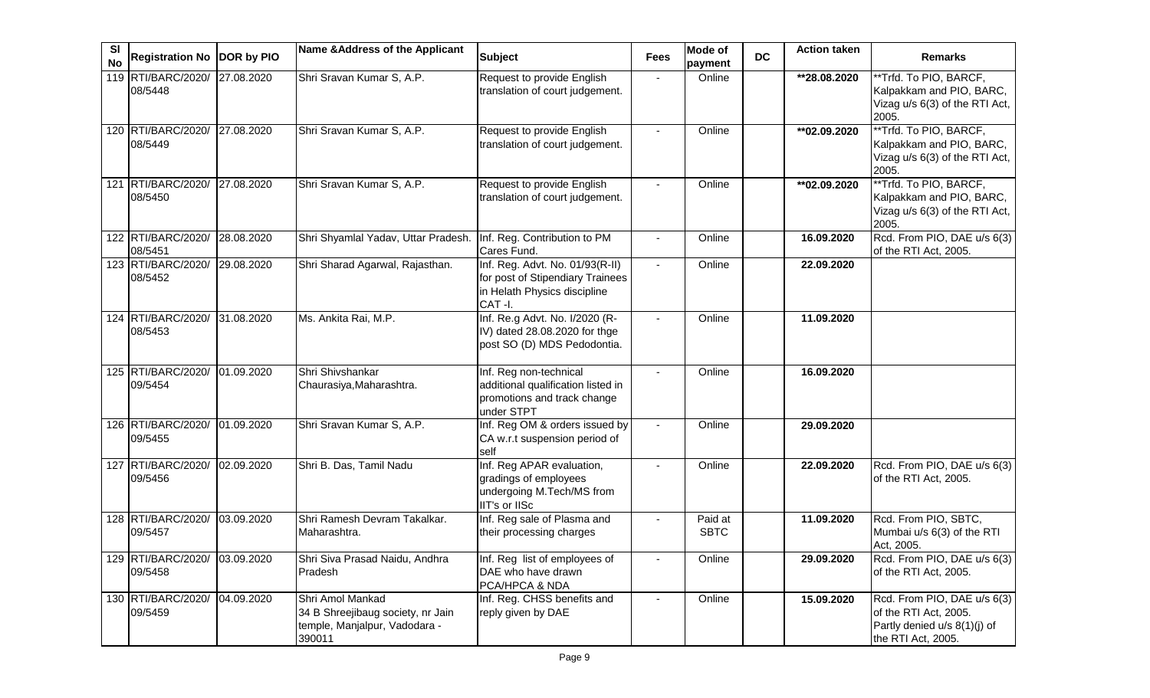| SI<br><b>No</b> | <b>Registration No DOR by PIO</b>        |            | Name & Address of the Applicant                                                                  | <b>Subject</b>                                                                                                | <b>Fees</b>  | Mode of<br>payment     | <b>DC</b> | <b>Action taken</b> | <b>Remarks</b>                                                                                             |
|-----------------|------------------------------------------|------------|--------------------------------------------------------------------------------------------------|---------------------------------------------------------------------------------------------------------------|--------------|------------------------|-----------|---------------------|------------------------------------------------------------------------------------------------------------|
|                 | 119 RTI/BARC/2020/<br>08/5448            | 27.08.2020 | Shri Sravan Kumar S, A.P.                                                                        | Request to provide English<br>translation of court judgement.                                                 |              | Online                 |           | **28.08.2020        | **Trfd. To PIO, BARCF,<br>Kalpakkam and PIO, BARC,<br>Vizag u/s 6(3) of the RTI Act,<br>2005.              |
|                 | 120 RTI/BARC/2020/<br>08/5449            | 27.08.2020 | Shri Sravan Kumar S, A.P.                                                                        | Request to provide English<br>translation of court judgement.                                                 |              | Online                 |           | ** 02.09.2020       | **Trfd. To PIO, BARCF,<br>Kalpakkam and PIO, BARC,<br>Vizag u/s 6(3) of the RTI Act,<br>2005.              |
|                 | 121 RTI/BARC/2020/<br>08/5450            | 27.08.2020 | Shri Sravan Kumar S, A.P.                                                                        | Request to provide English<br>translation of court judgement.                                                 |              | Online                 |           | **02.09.2020        | **Trfd. To PIO, BARCF,<br>Kalpakkam and PIO, BARC,<br>Vizag u/s 6(3) of the RTI Act,<br>2005.              |
|                 | 122 RTI/BARC/2020/<br>08/5451            | 28.08.2020 | Shri Shyamlal Yadav, Uttar Pradesh.                                                              | Inf. Reg. Contribution to PM<br>Cares Fund.                                                                   |              | Online                 |           | 16.09.2020          | Rcd. From PIO, DAE u/s 6(3)<br>of the RTI Act, 2005.                                                       |
|                 | 123 RTI/BARC/2020/<br>08/5452            | 29.08.2020 | Shri Sharad Agarwal, Rajasthan.                                                                  | Inf. Reg. Advt. No. 01/93(R-II)<br>for post of Stipendiary Trainees<br>in Helath Physics discipline<br>CAT-I. |              | Online                 |           | 22.09.2020          |                                                                                                            |
|                 | 124 RTI/BARC/2020/<br>08/5453            | 31.08.2020 | Ms. Ankita Rai, M.P.                                                                             | Inf. Re.g Advt. No. I/2020 (R-<br>IV) dated 28.08.2020 for thge<br>post SO (D) MDS Pedodontia.                |              | Online                 |           | 11.09.2020          |                                                                                                            |
|                 | 125 RTI/BARC/2020/<br>09/5454            | 01.09.2020 | Shri Shivshankar<br>Chaurasiya, Maharashtra.                                                     | Inf. Reg non-technical<br>additional qualification listed in<br>promotions and track change<br>under STPT     |              | Online                 |           | 16.09.2020          |                                                                                                            |
|                 | 126 RTI/BARC/2020/<br>09/5455            | 01.09.2020 | Shri Sravan Kumar S, A.P.                                                                        | Inf. Reg OM & orders issued by<br>CA w.r.t suspension period of<br>self                                       | $\mathbf{r}$ | Online                 |           | 29.09.2020          |                                                                                                            |
|                 | 127 RTI/BARC/2020/<br>09/5456            | 02.09.2020 | Shri B. Das, Tamil Nadu                                                                          | Inf. Reg APAR evaluation,<br>gradings of employees<br>undergoing M.Tech/MS from<br>IIT's or IISc              |              | Online                 |           | 22.09.2020          | Rcd. From PIO, DAE u/s 6(3)<br>of the RTI Act, 2005.                                                       |
|                 | 128 RTI/BARC/2020/<br>09/5457            | 03.09.2020 | Shri Ramesh Devram Takalkar.<br>Maharashtra.                                                     | Inf. Reg sale of Plasma and<br>their processing charges                                                       |              | Paid at<br><b>SBTC</b> |           | 11.09.2020          | Rcd. From PIO, SBTC,<br>Mumbai u/s 6(3) of the RTI<br>Act, 2005.                                           |
|                 | 129 RTI/BARC/2020/ 03.09.2020<br>09/5458 |            | Shri Siva Prasad Naidu, Andhra<br>Pradesh                                                        | Inf. Reg list of employees of<br>DAE who have drawn<br>PCA/HPCA & NDA                                         |              | Online                 |           | 29.09.2020          | Rcd. From PIO, DAE u/s 6(3)<br>of the RTI Act, 2005.                                                       |
|                 | 130 RTI/BARC/2020/<br>09/5459            | 04.09.2020 | Shri Amol Mankad<br>34 B Shreejibaug society, nr Jain<br>temple, Manjalpur, Vadodara -<br>390011 | Inf. Reg. CHSS benefits and<br>reply given by DAE                                                             |              | Online                 |           | 15.09.2020          | Rcd. From PIO, DAE u/s 6(3)<br>of the RTI Act, 2005.<br>Partly denied u/s 8(1)(j) of<br>the RTI Act, 2005. |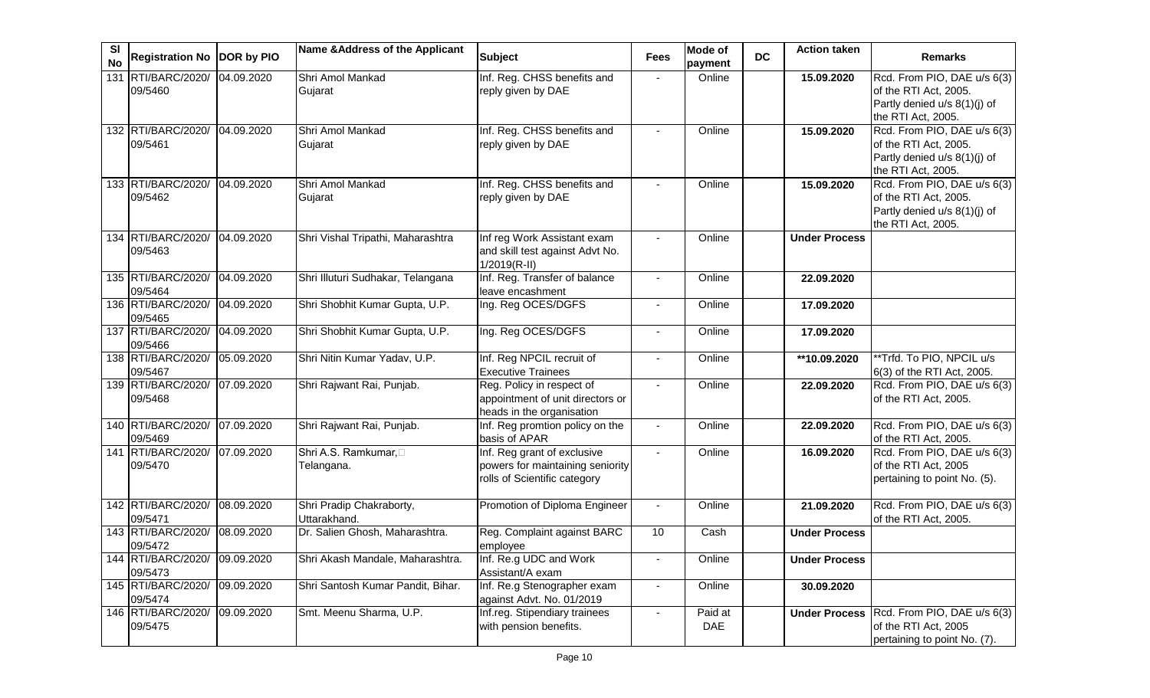| <b>SI</b><br><b>No</b> | Registration No DOR by PIO    |            | Name & Address of the Applicant          | <b>Subject</b>                                                                                  | <b>Fees</b>    | Mode of<br>payment | <b>DC</b> | <b>Action taken</b>  | <b>Remarks</b>                                                                                             |
|------------------------|-------------------------------|------------|------------------------------------------|-------------------------------------------------------------------------------------------------|----------------|--------------------|-----------|----------------------|------------------------------------------------------------------------------------------------------------|
| 131                    | RTI/BARC/2020/<br>09/5460     | 04.09.2020 | Shri Amol Mankad<br>Gujarat              | Inf. Reg. CHSS benefits and<br>reply given by DAE                                               |                | Online             |           | 15.09.2020           | Rcd. From PIO, DAE u/s 6(3)<br>of the RTI Act, 2005.<br>Partly denied u/s 8(1)(j) of<br>the RTI Act, 2005. |
|                        | 132 RTI/BARC/2020/<br>09/5461 | 04.09.2020 | Shri Amol Mankad<br>Gujarat              | Inf. Reg. CHSS benefits and<br>reply given by DAE                                               |                | Online             |           | 15.09.2020           | Rcd. From PIO, DAE u/s 6(3)<br>of the RTI Act, 2005.<br>Partly denied u/s 8(1)(j) of<br>the RTI Act, 2005. |
|                        | 133 RTI/BARC/2020/<br>09/5462 | 04.09.2020 | Shri Amol Mankad<br>Gujarat              | Inf. Reg. CHSS benefits and<br>reply given by DAE                                               |                | Online             |           | 15.09.2020           | Rcd. From PIO, DAE u/s 6(3)<br>of the RTI Act, 2005.<br>Partly denied u/s 8(1)(j) of<br>the RTI Act, 2005. |
|                        | 134 RTI/BARC/2020/<br>09/5463 | 04.09.2020 | Shri Vishal Tripathi, Maharashtra        | Inf reg Work Assistant exam<br>and skill test against Advt No.<br>$1/2019(R-II)$                |                | Online             |           | <b>Under Process</b> |                                                                                                            |
|                        | 135 RTI/BARC/2020/<br>09/5464 | 04.09.2020 | Shri Illuturi Sudhakar, Telangana        | Inf. Reg. Transfer of balance<br>leave encashment                                               | $\blacksquare$ | Online             |           | 22.09.2020           |                                                                                                            |
|                        | 136 RTI/BARC/2020/<br>09/5465 | 04.09.2020 | Shri Shobhit Kumar Gupta, U.P.           | Ing. Reg OCES/DGFS                                                                              | $\blacksquare$ | Online             |           | 17.09.2020           |                                                                                                            |
|                        | 137 RTI/BARC/2020/<br>09/5466 | 04.09.2020 | Shri Shobhit Kumar Gupta, U.P.           | Ing. Reg OCES/DGFS                                                                              | $\blacksquare$ | Online             |           | 17.09.2020           |                                                                                                            |
|                        | 138 RTI/BARC/2020/<br>09/5467 | 05.09.2020 | Shri Nitin Kumar Yadav, U.P.             | Inf. Reg NPCIL recruit of<br><b>Executive Trainees</b>                                          | $\blacksquare$ | Online             |           | **10.09.2020         | **Trfd. To PIO, NPCIL u/s<br>6(3) of the RTI Act, 2005.                                                    |
|                        | 139 RTI/BARC/2020/<br>09/5468 | 07.09.2020 | Shri Rajwant Rai, Punjab.                | Reg. Policy in respect of<br>appointment of unit directors or<br>heads in the organisation      | $\blacksquare$ | Online             |           | 22.09.2020           | Rcd. From PIO, DAE u/s 6(3)<br>of the RTI Act, 2005.                                                       |
|                        | 140 RTI/BARC/2020/<br>09/5469 | 07.09.2020 | Shri Rajwant Rai, Punjab.                | Inf. Reg promtion policy on the<br>basis of APAR                                                | $\blacksquare$ | Online             |           | 22.09.2020           | Rcd. From PIO, DAE u/s 6(3)<br>of the RTI Act, 2005.                                                       |
|                        | 141 RTI/BARC/2020/<br>09/5470 | 07.09.2020 | Shri A.S. Ramkumar,<br>Telangana.        | Inf. Reg grant of exclusive<br>powers for maintaining seniority<br>rolls of Scientific category |                | Online             |           | 16.09.2020           | Rcd. From PIO, DAE u/s 6(3)<br>of the RTI Act, 2005<br>pertaining to point No. (5).                        |
|                        | 142 RTI/BARC/2020/<br>09/5471 | 08.09.2020 | Shri Pradip Chakraborty,<br>Uttarakhand. | Promotion of Diploma Engineer                                                                   |                | Online             |           | 21.09.2020           | Rcd. From PIO, DAE u/s 6(3)<br>of the RTI Act, 2005.                                                       |
|                        | 143 RTI/BARC/2020/<br>09/5472 | 08.09.2020 | Dr. Salien Ghosh, Maharashtra.           | Reg. Complaint against BARC<br>employee                                                         | 10             | Cash               |           | <b>Under Process</b> |                                                                                                            |
|                        | 144 RTI/BARC/2020/<br>09/5473 | 09.09.2020 | Shri Akash Mandale, Maharashtra.         | Inf. Re.g UDC and Work<br>Assistant/A exam                                                      | $\blacksquare$ | Online             |           | <b>Under Process</b> |                                                                                                            |
|                        | 145 RTI/BARC/2020/<br>09/5474 | 09.09.2020 | Shri Santosh Kumar Pandit, Bihar.        | Inf. Re.g Stenographer exam<br>against Advt. No. 01/2019                                        | $\blacksquare$ | Online             |           | 30.09.2020           |                                                                                                            |
|                        | 146 RTI/BARC/2020/<br>09/5475 | 09.09.2020 | Smt. Meenu Sharma, U.P.                  | Inf.reg. Stipendiary trainees<br>with pension benefits.                                         | $\blacksquare$ | Paid at<br>DAE     |           | <b>Under Process</b> | Rcd. From PIO, DAE u/s 6(3)<br>of the RTI Act, 2005<br>pertaining to point No. (7).                        |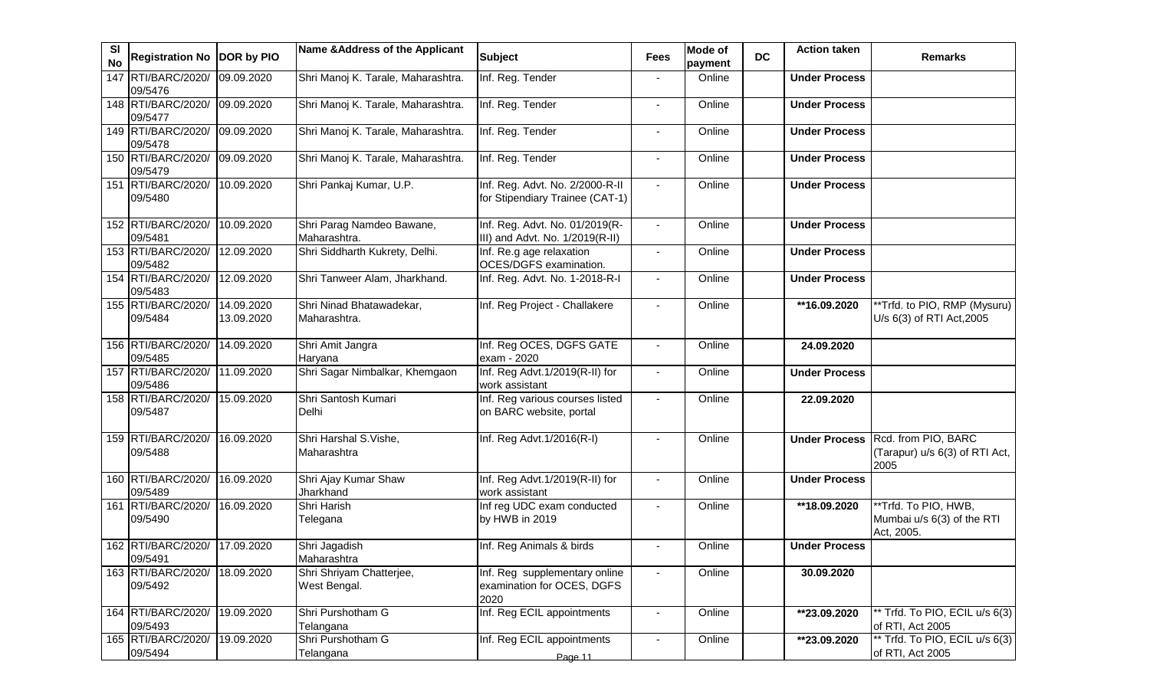| SI<br><b>No</b> | Registration No  DOR by PIO              |                          | Name & Address of the Applicant           | <b>Subject</b>                                                      | <b>Fees</b>    | <b>Mode of</b><br>payment | <b>DC</b> | <b>Action taken</b>      | <b>Remarks</b>                                                              |
|-----------------|------------------------------------------|--------------------------|-------------------------------------------|---------------------------------------------------------------------|----------------|---------------------------|-----------|--------------------------|-----------------------------------------------------------------------------|
| 147             | RTI/BARC/2020/<br>09/5476                | 09.09.2020               | Shri Manoj K. Tarale, Maharashtra.        | Inf. Reg. Tender                                                    |                | Online                    |           | <b>Under Process</b>     |                                                                             |
|                 | 148 RTI/BARC/2020/<br>09/5477            | 09.09.2020               | Shri Manoj K. Tarale, Maharashtra.        | Inf. Reg. Tender                                                    | $\blacksquare$ | Online                    |           | <b>Under Process</b>     |                                                                             |
|                 | 149 RTI/BARC/2020/<br>09/5478            | 09.09.2020               | Shri Manoj K. Tarale, Maharashtra.        | Inf. Reg. Tender                                                    |                | Online                    |           | <b>Under Process</b>     |                                                                             |
|                 | 150 RTI/BARC/2020/<br>09/5479            | 09.09.2020               | Shri Manoj K. Tarale, Maharashtra.        | Inf. Reg. Tender                                                    |                | Online                    |           | <b>Under Process</b>     |                                                                             |
|                 | 151 RTI/BARC/2020/<br>09/5480            | 10.09.2020               | Shri Pankaj Kumar, U.P.                   | Inf. Reg. Advt. No. 2/2000-R-II<br>for Stipendiary Trainee (CAT-1)  |                | Online                    |           | <b>Under Process</b>     |                                                                             |
|                 | 152 RTI/BARC/2020/<br>09/5481            | 10.09.2020               | Shri Parag Namdeo Bawane,<br>Maharashtra. | Inf. Reg. Advt. No. 01/2019(R-<br>III) and Advt. No. 1/2019(R-II)   | $\blacksquare$ | Online                    |           | <b>Under Process</b>     |                                                                             |
|                 | 153 RTI/BARC/2020/<br>09/5482            | 12.09.2020               | Shri Siddharth Kukrety, Delhi.            | Inf. Re.g age relaxation<br>OCES/DGFS examination.                  | $\blacksquare$ | Online                    |           | <b>Under Process</b>     |                                                                             |
|                 | 154 RTI/BARC/2020/<br>09/5483            | 12.09.2020               | Shri Tanweer Alam, Jharkhand.             | Inf. Reg. Advt. No. 1-2018-R-I                                      | $\blacksquare$ | Online                    |           | <b>Under Process</b>     |                                                                             |
|                 | 155 RTI/BARC/2020/<br>09/5484            | 14.09.2020<br>13.09.2020 | Shri Ninad Bhatawadekar,<br>Maharashtra.  | Inf. Reg Project - Challakere                                       | $\sim$         | Online                    |           | $\overline{116.09.2020}$ | **Trfd. to PIO, RMP (Mysuru)<br>U/s 6(3) of RTI Act, 2005                   |
|                 | 156 RTI/BARC/2020/<br>09/5485            | 14.09.2020               | Shri Amit Jangra<br>Haryana               | Inf. Reg OCES, DGFS GATE<br>exam - 2020                             |                | Online                    |           | 24.09.2020               |                                                                             |
|                 | 157 RTI/BARC/2020/<br>09/5486            | 11.09.2020               | Shri Sagar Nimbalkar, Khemgaon            | Inf. Reg Advt.1/2019(R-II) for<br>work assistant                    |                | Online                    |           | <b>Under Process</b>     |                                                                             |
|                 | 158 RTI/BARC/2020/<br>09/5487            | 15.09.2020               | Shri Santosh Kumari<br>Delhi              | Inf. Reg various courses listed<br>on BARC website, portal          |                | Online                    |           | 22.09.2020               |                                                                             |
|                 | 159 RTI/BARC/2020/<br>09/5488            | 16.09.2020               | Shri Harshal S.Vishe,<br>Maharashtra      | Inf. Reg Advt.1/2016(R-I)                                           |                | Online                    |           |                          | Under Process Rcd. from PIO, BARC<br>(Tarapur) u/s 6(3) of RTI Act,<br>2005 |
|                 | 160 RTI/BARC/2020/<br>09/5489            | 16.09.2020               | Shri Ajay Kumar Shaw<br>Jharkhand         | Inf. Reg Advt.1/2019(R-II) for<br>work assistant                    |                | Online                    |           | <b>Under Process</b>     |                                                                             |
|                 | 161 RTI/BARC/2020/<br>09/5490            | 16.09.2020               | Shri Harish<br>Telegana                   | Inf reg UDC exam conducted<br>by HWB in 2019                        |                | Online                    |           | **18.09.2020             | **Trfd. To PIO, HWB,<br>Mumbai u/s 6(3) of the RTI<br>Act, 2005.            |
|                 | 162 RTI/BARC/2020/ 17.09.2020<br>09/5491 |                          | Shri Jagadish<br>Maharashtra              | Inf. Reg Animals & birds                                            |                | Online                    |           | <b>Under Process</b>     |                                                                             |
|                 | 163 RTI/BARC/2020/<br>09/5492            | 18.09.2020               | Shri Shriyam Chatterjee,<br>West Bengal.  | Inf. Reg supplementary online<br>examination for OCES, DGFS<br>2020 |                | Online                    |           | 30.09.2020               |                                                                             |
|                 | 164 RTI/BARC/2020/<br>09/5493            | 19.09.2020               | Shri Purshotham G<br>Telangana            | Inf. Reg ECIL appointments                                          |                | Online                    |           | **23.09.2020             | ** Trfd. To PIO, ECIL u/s 6(3)<br>of RTI, Act 2005                          |
|                 | 165 RTI/BARC/2020/<br>09/5494            | 19.09.2020               | Shri Purshotham G<br>Telangana            | Inf. Reg ECIL appointments<br>Page 11                               |                | Online                    |           | **23.09.2020             | ** Trfd. To PIO, ECIL u/s 6(3)<br>of RTI, Act 2005                          |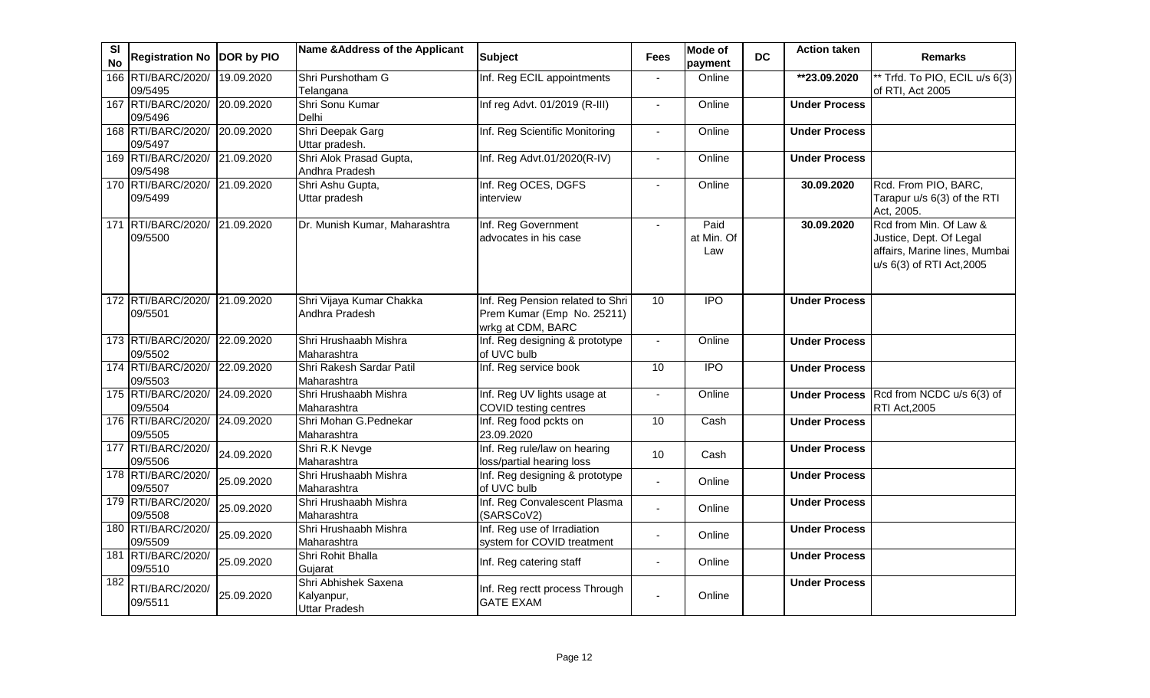| SI<br><b>No</b>  | Registration No DOR by PIO               |            | Name & Address of the Applicant                            | <b>Subject</b>                                                                      | <b>Fees</b>              | <b>Mode of</b><br>payment | <b>DC</b> | <b>Action taken</b>  | <b>Remarks</b>                                                                                                  |
|------------------|------------------------------------------|------------|------------------------------------------------------------|-------------------------------------------------------------------------------------|--------------------------|---------------------------|-----------|----------------------|-----------------------------------------------------------------------------------------------------------------|
|                  | 166 RTI/BARC/2020/<br>09/5495            | 19.09.2020 | Shri Purshotham G<br>Telangana                             | Inf. Reg ECIL appointments                                                          | $\Delta$                 | Online                    |           | **23.09.2020         | ** Trfd. To PIO, ECIL u/s 6(3)<br>of RTI, Act 2005                                                              |
|                  | 167 RTI/BARC/2020/<br>09/5496            | 20.09.2020 | Shri Sonu Kumar<br>Delhi                                   | Inf reg Advt. 01/2019 (R-III)                                                       | $\blacksquare$           | Online                    |           | <b>Under Process</b> |                                                                                                                 |
|                  | 168 RTI/BARC/2020/ 20.09.2020<br>09/5497 |            | Shri Deepak Garg<br>Uttar pradesh.                         | Inf. Reg Scientific Monitoring                                                      | $\overline{a}$           | Online                    |           | <b>Under Process</b> |                                                                                                                 |
|                  | 169 RTI/BARC/2020/ 21.09.2020<br>09/5498 |            | Shri Alok Prasad Gupta,<br>Andhra Pradesh                  | Inf. Reg Advt.01/2020(R-IV)                                                         | $\overline{\phantom{a}}$ | Online                    |           | <b>Under Process</b> |                                                                                                                 |
|                  | 170 RTI/BARC/2020/ 21.09.2020<br>09/5499 |            | Shri Ashu Gupta,<br>Uttar pradesh                          | Inf. Reg OCES, DGFS<br>interview                                                    | $\sim$                   | Online                    |           | 30.09.2020           | Rcd. From PIO, BARC,<br>Tarapur u/s 6(3) of the RTI<br>Act, 2005.                                               |
|                  | 171 RTI/BARC/2020/ 21.09.2020<br>09/5500 |            | Dr. Munish Kumar, Maharashtra                              | Inf. Reg Government<br>advocates in his case                                        |                          | Paid<br>at Min. Of<br>Law |           | 30.09.2020           | Rcd from Min. Of Law &<br>Justice, Dept. Of Legal<br>affairs, Marine lines, Mumbai<br>u/s 6(3) of RTI Act, 2005 |
|                  | 172 RTI/BARC/2020/ 21.09.2020<br>09/5501 |            | Shri Vijaya Kumar Chakka<br>Andhra Pradesh                 | Inf. Reg Pension related to Shri<br>Prem Kumar (Emp No. 25211)<br>wrkg at CDM, BARC | 10                       | <b>IPO</b>                |           | <b>Under Process</b> |                                                                                                                 |
|                  | 173 RTI/BARC/2020/<br>09/5502            | 22.09.2020 | Shri Hrushaabh Mishra<br>Maharashtra                       | Inf. Reg designing & prototype<br>of UVC bulb                                       |                          | Online                    |           | <b>Under Process</b> |                                                                                                                 |
|                  | 174 RTI/BARC/2020/<br>09/5503            | 22.09.2020 | Shri Rakesh Sardar Patil<br>Maharashtra                    | Inf. Reg service book                                                               | 10                       | $\overline{1}$            |           | <b>Under Process</b> |                                                                                                                 |
|                  | 175 RTI/BARC/2020/<br>09/5504            | 24.09.2020 | Shri Hrushaabh Mishra<br>Maharashtra                       | Inf. Reg UV lights usage at<br>COVID testing centres                                |                          | Online                    |           |                      | Under Process Rcd from NCDC u/s 6(3) of<br>RTI Act, 2005                                                        |
|                  | 176 RTI/BARC/2020/<br>09/5505            | 24.09.2020 | Shri Mohan G.Pednekar<br>Maharashtra                       | Inf. Reg food pckts on<br>23.09.2020                                                | 10                       | Cash                      |           | <b>Under Process</b> |                                                                                                                 |
|                  | 177 RTI/BARC/2020/<br>09/5506            | 24.09.2020 | Shri R.K Nevge<br>Maharashtra                              | Inf. Reg rule/law on hearing<br>loss/partial hearing loss                           | 10                       | Cash                      |           | <b>Under Process</b> |                                                                                                                 |
|                  | 178 RTI/BARC/2020/<br>09/5507            | 25.09.2020 | Shri Hrushaabh Mishra<br>Maharashtra                       | Inf. Reg designing & prototype<br>of UVC bulb                                       |                          | Online                    |           | <b>Under Process</b> |                                                                                                                 |
|                  | 179 RTI/BARC/2020/<br>09/5508            | 25.09.2020 | Shri Hrushaabh Mishra<br>Maharashtra                       | Inf. Reg Convalescent Plasma<br>(SARSCoV2)                                          | $\overline{a}$           | Online                    |           | <b>Under Process</b> |                                                                                                                 |
|                  | 180 RTI/BARC/2020/<br>09/5509            | 25.09.2020 | Shri Hrushaabh Mishra<br>Maharashtra                       | Inf. Reg use of Irradiation<br>system for COVID treatment                           | $\blacksquare$           | Online                    |           | <b>Under Process</b> |                                                                                                                 |
|                  | 181 RTI/BARC/2020/<br>09/5510            | 25.09.2020 | Shri Rohit Bhalla<br>Gujarat                               | Inf. Reg catering staff                                                             | $\blacksquare$           | Online                    |           | <b>Under Process</b> |                                                                                                                 |
| $\overline{182}$ | RTI/BARC/2020/<br>09/5511                | 25.09.2020 | Shri Abhishek Saxena<br>Kalyanpur,<br><b>Uttar Pradesh</b> | Inf. Reg rectt process Through<br><b>GATE EXAM</b>                                  |                          | Online                    |           | <b>Under Process</b> |                                                                                                                 |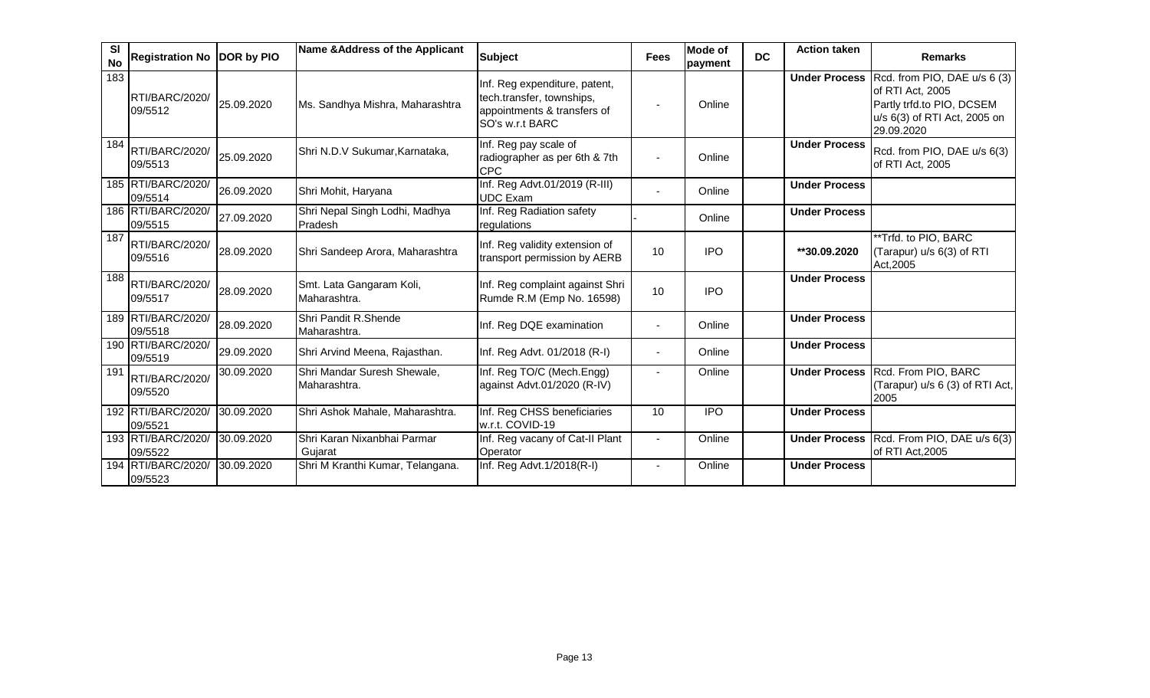| <b>SI</b><br><b>No</b> | Registration No DOR by PIO       |            | Name & Address of the Applicant             | <b>Subject</b>                                                                                               | <b>Fees</b> | <b>Mode of</b><br>payment | <b>DC</b> | <b>Action taken</b>  | <b>Remarks</b>                                                                                                                            |
|------------------------|----------------------------------|------------|---------------------------------------------|--------------------------------------------------------------------------------------------------------------|-------------|---------------------------|-----------|----------------------|-------------------------------------------------------------------------------------------------------------------------------------------|
| 183                    | <b>RTI/BARC/2020/</b><br>09/5512 | 25.09.2020 | Ms. Sandhya Mishra, Maharashtra             | Inf. Reg expenditure, patent,<br>tech.transfer, townships,<br>appointments & transfers of<br>SO's w.r.t BARC |             | Online                    |           |                      | Under Process Rcd. from PIO, DAE u/s 6 (3)<br>of RTI Act, 2005<br>Partly trfd.to PIO, DCSEM<br>u/s 6(3) of RTI Act, 2005 on<br>29.09.2020 |
| 184                    | RTI/BARC/2020/<br>09/5513        | 25.09.2020 | Shri N.D.V Sukumar, Karnataka,              | Inf. Reg pay scale of<br>radiographer as per 6th & 7th<br><b>CPC</b>                                         |             | Online                    |           | <b>Under Process</b> | Rcd. from PIO, DAE u/s 6(3)<br>of RTI Act, 2005                                                                                           |
|                        | 185 RTI/BARC/2020/<br>09/5514    | 26.09.2020 | Shri Mohit, Haryana                         | Inf. Reg Advt.01/2019 (R-III)<br><b>UDC</b> Exam                                                             |             | Online                    |           | <b>Under Process</b> |                                                                                                                                           |
|                        | 186 RTI/BARC/2020/<br>09/5515    | 27.09.2020 | Shri Nepal Singh Lodhi, Madhya<br>Pradesh   | Inf. Reg Radiation safety<br>regulations                                                                     |             | Online                    |           | <b>Under Process</b> |                                                                                                                                           |
| 187                    | RTI/BARC/2020/<br>09/5516        | 28.09.2020 | Shri Sandeep Arora, Maharashtra             | Inf. Reg validity extension of<br>transport permission by AERB                                               | 10          | <b>IPO</b>                |           | **30.09.2020         | **Trfd. to PIO, BARC<br>(Tarapur) u/s 6(3) of RTI<br>Act, 2005                                                                            |
| 188                    | RTI/BARC/2020/<br>09/5517        | 28.09.2020 | Smt. Lata Gangaram Koli,<br>Maharashtra.    | Inf. Reg complaint against Shri<br>Rumde R.M (Emp No. 16598)                                                 | 10          | <b>IPO</b>                |           | <b>Under Process</b> |                                                                                                                                           |
|                        | 189 RTI/BARC/2020/<br>09/5518    | 28.09.2020 | Shri Pandit R.Shende<br>Maharashtra.        | Inf. Reg DQE examination                                                                                     |             | Online                    |           | <b>Under Process</b> |                                                                                                                                           |
|                        | 190 RTI/BARC/2020/<br>09/5519    | 29.09.2020 | Shri Arvind Meena, Rajasthan.               | Inf. Reg Advt. 01/2018 (R-I)                                                                                 |             | Online                    |           | <b>Under Process</b> |                                                                                                                                           |
| 191                    | RTI/BARC/2020/<br>09/5520        | 30.09.2020 | Shri Mandar Suresh Shewale,<br>Maharashtra. | Inf. Reg TO/C (Mech.Engg)<br>against Advt.01/2020 (R-IV)                                                     |             | Online                    |           |                      | Under Process Rcd. From PIO, BARC<br>(Tarapur) u/s 6 (3) of RTI Act,<br>2005                                                              |
|                        | 192 RTI/BARC/2020/<br>09/5521    | 30.09.2020 | Shri Ashok Mahale, Maharashtra.             | Inf. Reg CHSS beneficiaries<br>w.r.t. COVID-19                                                               | 10          | <b>IPO</b>                |           | <b>Under Process</b> |                                                                                                                                           |
|                        | 193 RTI/BARC/2020/<br>09/5522    | 30.09.2020 | Shri Karan Nixanbhai Parmar<br>Guiarat      | Inf. Reg vacany of Cat-II Plant<br>Operator                                                                  |             | Online                    |           |                      | Under Process Rcd. From PIO, DAE u/s 6(3)<br>of RTI Act, 2005                                                                             |
|                        | 194 RTI/BARC/2020/<br>09/5523    | 30.09.2020 | Shri M Kranthi Kumar, Telangana.            | Inf. Reg Advt.1/2018(R-I)                                                                                    |             | Online                    |           | <b>Under Process</b> |                                                                                                                                           |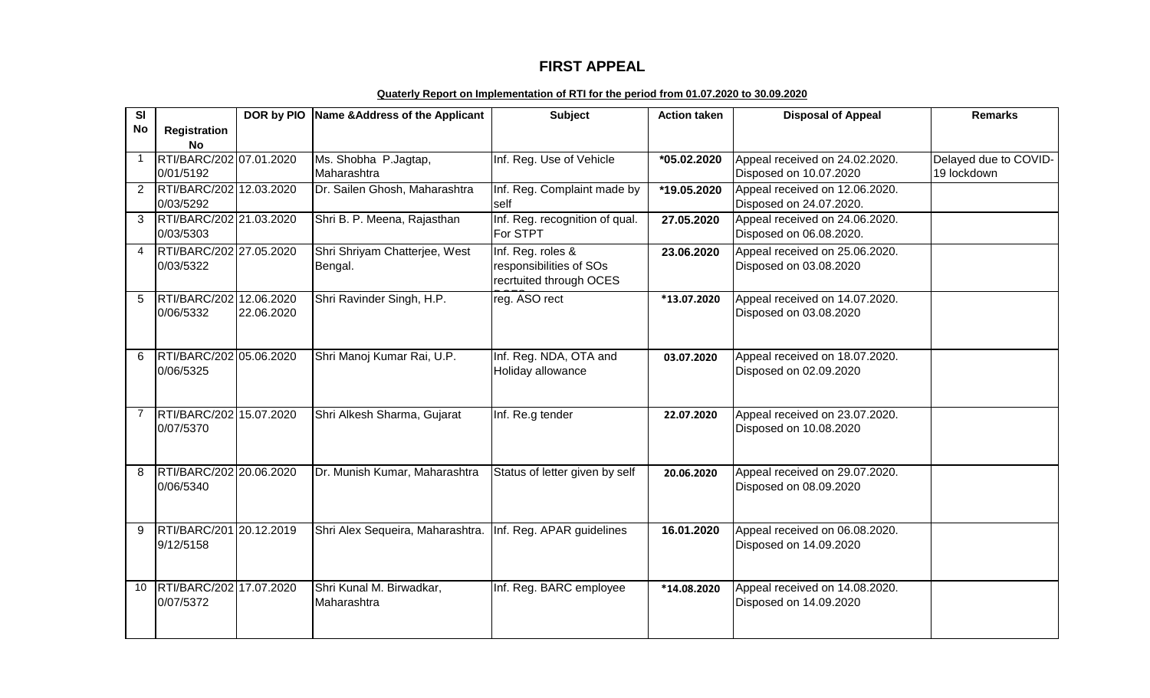## **FIRST APPEAL**

## **Quaterly Report on Implementation of RTI for the period from 01.07.2020 to 30.09.2020**

| <b>SI</b> |                                      | DOR by PIO | Name & Address of the Applicant  | <b>Subject</b>                 | <b>Action taken</b> | <b>Disposal of Appeal</b>      | <b>Remarks</b>        |
|-----------|--------------------------------------|------------|----------------------------------|--------------------------------|---------------------|--------------------------------|-----------------------|
| <b>No</b> | <b>Registration</b>                  |            |                                  |                                |                     |                                |                       |
|           | <b>No</b>                            |            |                                  |                                |                     |                                |                       |
|           | RTI/BARC/202 07.01.2020              |            | Ms. Shobha P. Jagtap,            | Inf. Reg. Use of Vehicle       | *05.02.2020         | Appeal received on 24.02.2020. | Delayed due to COVID- |
|           | 0/01/5192                            |            | Maharashtra                      |                                |                     | Disposed on 10.07.2020         | 19 lockdown           |
| 2         | RTI/BARC/202 12.03.2020              |            | Dr. Sailen Ghosh, Maharashtra    | Inf. Reg. Complaint made by    | *19.05.2020         | Appeal received on 12.06.2020. |                       |
|           | 0/03/5292                            |            |                                  | self                           |                     | Disposed on 24.07.2020.        |                       |
| 3         | RTI/BARC/202 21.03.2020              |            | Shri B. P. Meena, Rajasthan      | Inf. Reg. recognition of qual. | 27.05.2020          | Appeal received on 24.06.2020. |                       |
|           | 0/03/5303                            |            |                                  | For STPT                       |                     | Disposed on 06.08.2020.        |                       |
| 4         | RTI/BARC/202 27.05.2020              |            | Shri Shriyam Chatterjee, West    | Inf. Reg. roles &              | 23.06.2020          | Appeal received on 25.06.2020. |                       |
|           | 0/03/5322                            |            | Bengal.                          | responsibilities of SOs        |                     | Disposed on 03.08.2020         |                       |
|           |                                      |            |                                  | recrtuited through OCES        |                     |                                |                       |
| 5         | RTI/BARC/202 12.06.2020              |            | Shri Ravinder Singh, H.P.        | reg. ASO rect                  | *13.07.2020         | Appeal received on 14.07.2020. |                       |
|           | 0/06/5332                            | 22.06.2020 |                                  |                                |                     | Disposed on 03.08.2020         |                       |
|           |                                      |            |                                  |                                |                     |                                |                       |
| 6         | RTI/BARC/202 05.06.2020              |            | Shri Manoj Kumar Rai, U.P.       | Inf. Reg. NDA, OTA and         | 03.07.2020          | Appeal received on 18.07.2020. |                       |
|           | 0/06/5325                            |            |                                  | Holiday allowance              |                     | Disposed on 02.09.2020         |                       |
|           |                                      |            |                                  |                                |                     |                                |                       |
|           |                                      |            |                                  |                                |                     |                                |                       |
|           | RTI/BARC/202 15.07.2020              |            | Shri Alkesh Sharma, Gujarat      | Inf. Re.g tender               | 22.07.2020          | Appeal received on 23.07.2020. |                       |
|           | 0/07/5370                            |            |                                  |                                |                     | Disposed on 10.08.2020         |                       |
|           |                                      |            |                                  |                                |                     |                                |                       |
|           |                                      |            |                                  |                                |                     |                                |                       |
| 8         | RTI/BARC/202 20.06.2020<br>0/06/5340 |            | Dr. Munish Kumar, Maharashtra    | Status of letter given by self | 20.06.2020          | Appeal received on 29.07.2020. |                       |
|           |                                      |            |                                  |                                |                     | Disposed on 08.09.2020         |                       |
|           |                                      |            |                                  |                                |                     |                                |                       |
| 9         | RTI/BARC/201 20.12.2019              |            | Shri Alex Sequeira, Maharashtra. | Inf. Reg. APAR guidelines      | 16.01.2020          | Appeal received on 06.08.2020. |                       |
|           | 9/12/5158                            |            |                                  |                                |                     | Disposed on 14.09.2020         |                       |
|           |                                      |            |                                  |                                |                     |                                |                       |
|           |                                      |            |                                  |                                |                     |                                |                       |
| 10        | RTI/BARC/202 17.07.2020              |            | Shri Kunal M. Birwadkar,         | Inf. Reg. BARC employee        | *14.08.2020         | Appeal received on 14.08.2020. |                       |
|           | 0/07/5372                            |            | Maharashtra                      |                                |                     | Disposed on 14.09.2020         |                       |
|           |                                      |            |                                  |                                |                     |                                |                       |
|           |                                      |            |                                  |                                |                     |                                |                       |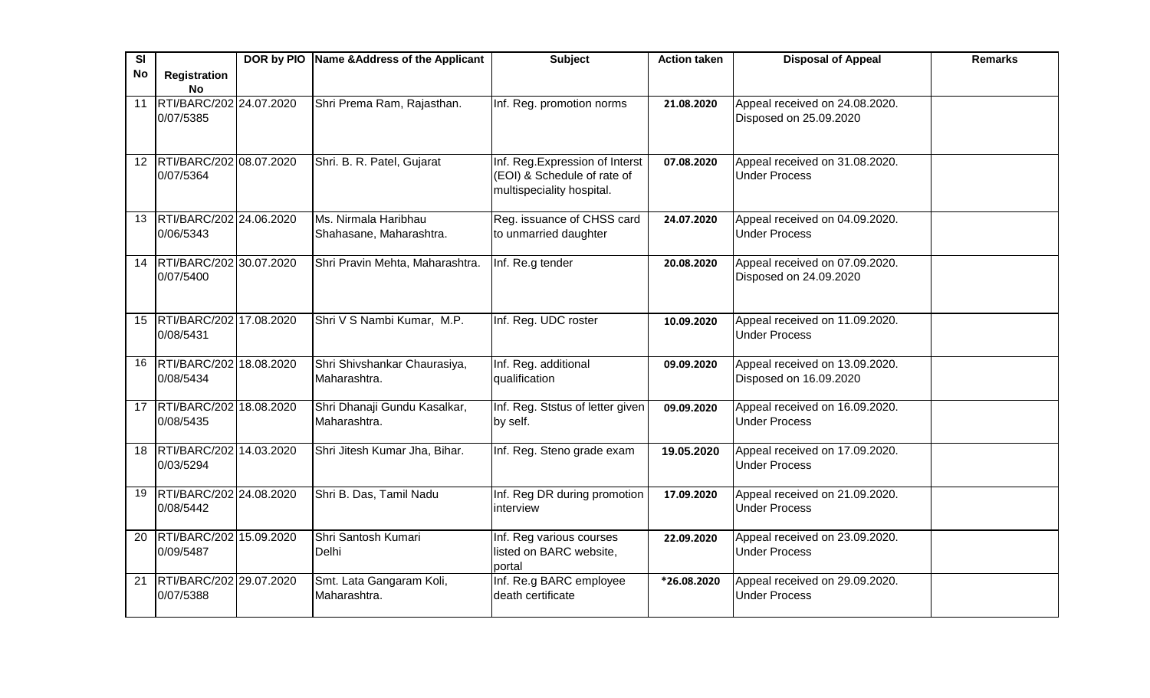| SI              |                                         | DOR by PIO Name & Address of the Applicant      | <b>Subject</b>                                                                              | <b>Action taken</b> | <b>Disposal of Appeal</b>                                | <b>Remarks</b> |
|-----------------|-----------------------------------------|-------------------------------------------------|---------------------------------------------------------------------------------------------|---------------------|----------------------------------------------------------|----------------|
| <b>No</b>       | <b>Registration</b><br><b>No</b>        |                                                 |                                                                                             |                     |                                                          |                |
| 11              | RTI/BARC/202 24.07.2020<br>0/07/5385    | Shri Prema Ram, Rajasthan.                      | Inf. Reg. promotion norms                                                                   | 21.08.2020          | Appeal received on 24.08.2020.<br>Disposed on 25.09.2020 |                |
| 12 <sup>2</sup> | RTI/BARC/202 08.07.2020<br>0/07/5364    | Shri. B. R. Patel, Gujarat                      | Inf. Reg. Expression of Interst<br>(EOI) & Schedule of rate of<br>multispeciality hospital. | 07.08.2020          | Appeal received on 31.08.2020.<br><b>Under Process</b>   |                |
|                 | 13 RTI/BARC/202 24.06.2020<br>0/06/5343 | Ms. Nirmala Haribhau<br>Shahasane, Maharashtra. | Reg. issuance of CHSS card<br>to unmarried daughter                                         | 24.07.2020          | Appeal received on 04.09.2020.<br><b>Under Process</b>   |                |
|                 | 14 RTI/BARC/202 30.07.2020<br>0/07/5400 | Shri Pravin Mehta, Maharashtra.                 | Inf. Re.g tender                                                                            | 20.08.2020          | Appeal received on 07.09.2020.<br>Disposed on 24.09.2020 |                |
|                 | 15 RTI/BARC/202 17.08.2020<br>0/08/5431 | Shri V S Nambi Kumar, M.P.                      | Inf. Reg. UDC roster                                                                        | 10.09.2020          | Appeal received on 11.09.2020.<br><b>Under Process</b>   |                |
|                 | 16 RTI/BARC/202 18.08.2020<br>0/08/5434 | Shri Shivshankar Chaurasiya,<br>Maharashtra.    | Inf. Reg. additional<br>qualification                                                       | 09.09.2020          | Appeal received on 13.09.2020.<br>Disposed on 16.09.2020 |                |
|                 | 17 RTI/BARC/202 18.08.2020<br>0/08/5435 | Shri Dhanaji Gundu Kasalkar,<br>Maharashtra.    | Inf. Reg. Ststus of letter given<br>by self.                                                | 09.09.2020          | Appeal received on 16.09.2020.<br><b>Under Process</b>   |                |
|                 | 18 RTI/BARC/202 14.03.2020<br>0/03/5294 | Shri Jitesh Kumar Jha, Bihar.                   | Inf. Reg. Steno grade exam                                                                  | 19.05.2020          | Appeal received on 17.09.2020.<br><b>Under Process</b>   |                |
| 19              | RTI/BARC/202 24.08.2020<br>0/08/5442    | Shri B. Das, Tamil Nadu                         | Inf. Reg DR during promotion<br>interview                                                   | 17.09.2020          | Appeal received on 21.09.2020.<br><b>Under Process</b>   |                |
|                 | 20 RTI/BARC/202 15.09.2020<br>0/09/5487 | Shri Santosh Kumari<br>Delhi                    | Inf. Reg various courses<br>listed on BARC website,<br>portal                               | 22.09.2020          | Appeal received on 23.09.2020.<br><b>Under Process</b>   |                |
| 21              | RTI/BARC/202 29.07.2020<br>0/07/5388    | Smt. Lata Gangaram Koli,<br>Maharashtra.        | Inf. Re.g BARC employee<br>death certificate                                                | *26.08.2020         | Appeal received on 29.09.2020.<br><b>Under Process</b>   |                |